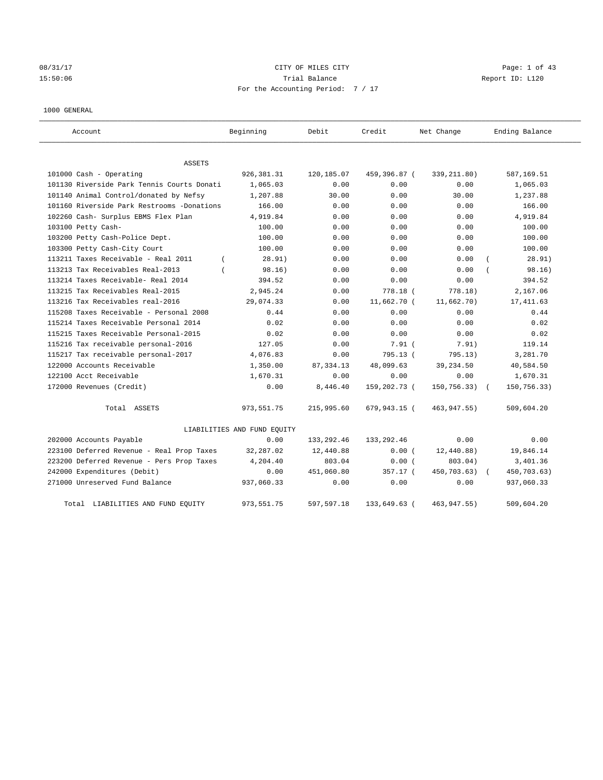# 08/31/17 Page: 1 of 43 15:50:06 Trial Balance Report ID: L120 For the Accounting Period: 7 / 17

### 1000 GENERAL

| Account                                    | Beginning                   | Debit       | Credit       | Net Change   | Ending Balance |
|--------------------------------------------|-----------------------------|-------------|--------------|--------------|----------------|
| <b>ASSETS</b>                              |                             |             |              |              |                |
| 101000 Cash - Operating                    | 926,381.31                  | 120,185.07  | 459,396.87 ( | 339, 211.80) | 587,169.51     |
| 101130 Riverside Park Tennis Courts Donati | 1,065.03                    | 0.00        | 0.00         | 0.00         | 1,065.03       |
| 101140 Animal Control/donated by Nefsy     | 1,207.88                    | 30.00       | 0.00         | 30.00        | 1,237.88       |
| 101160 Riverside Park Restrooms -Donations | 166.00                      | 0.00        | 0.00         | 0.00         | 166.00         |
| 102260 Cash- Surplus EBMS Flex Plan        | 4,919.84                    | 0.00        | 0.00         | 0.00         | 4,919.84       |
| 103100 Petty Cash-                         | 100.00                      | 0.00        | 0.00         | 0.00         | 100.00         |
| 103200 Petty Cash-Police Dept.             | 100.00                      | 0.00        | 0.00         | 0.00         | 100.00         |
| 103300 Petty Cash-City Court               | 100.00                      | 0.00        | 0.00         | 0.00         | 100.00         |
| 113211 Taxes Receivable - Real 2011        | 28.91)<br>$\left($          | 0.00        | 0.00         | 0.00         | 28.91)         |
| 113213 Tax Receivables Real-2013           | 98.16)                      | 0.00        | 0.00         | 0.00         | 98.16)         |
| 113214 Taxes Receivable- Real 2014         | 394.52                      | 0.00        | 0.00         | 0.00         | 394.52         |
| 113215 Tax Receivables Real-2015           | 2,945.24                    | 0.00        | 778.18 (     | 778.18)      | 2,167.06       |
| 113216 Tax Receivables real-2016           | 29,074.33                   | 0.00        | 11,662.70 (  | 11,662.70)   | 17, 411.63     |
| 115208 Taxes Receivable - Personal 2008    | 0.44                        | 0.00        | 0.00         | 0.00         | 0.44           |
| 115214 Taxes Receivable Personal 2014      | 0.02                        | 0.00        | 0.00         | 0.00         | 0.02           |
| 115215 Taxes Receivable Personal-2015      | 0.02                        | 0.00        | 0.00         | 0.00         | 0.02           |
| 115216 Tax receivable personal-2016        | 127.05                      | 0.00        | $7.91$ (     | 7.91)        | 119.14         |
| 115217 Tax receivable personal-2017        | 4,076.83                    | 0.00        | 795.13 (     | 795.13)      | 3,281.70       |
| 122000 Accounts Receivable                 | 1,350.00                    | 87, 334.13  | 48,099.63    | 39, 234.50   | 40,584.50      |
| 122100 Acct Receivable                     | 1,670.31                    | 0.00        | 0.00         | 0.00         | 1,670.31       |
| 172000 Revenues (Credit)                   | 0.00                        | 8,446.40    | 159,202.73 ( | 150,756.33)  | 150,756.33)    |
| Total ASSETS                               | 973, 551.75                 | 215,995.60  | 679,943.15 ( | 463, 947.55) | 509,604.20     |
|                                            | LIABILITIES AND FUND EQUITY |             |              |              |                |
| 202000 Accounts Payable                    | 0.00                        | 133, 292.46 | 133, 292.46  | 0.00         | 0.00           |
| 223100 Deferred Revenue - Real Prop Taxes  | 32,287.02                   | 12,440.88   | 0.00(        | 12,440.88)   | 19,846.14      |
| 223200 Deferred Revenue - Pers Prop Taxes  | 4,204.40                    | 803.04      | 0.00(        | 803.04)      | 3,401.36       |
| 242000 Expenditures (Debit)                | 0.00                        | 451,060.80  | 357.17 (     | 450,703.63)  | 450,703.63)    |
| 271000 Unreserved Fund Balance             | 937,060.33                  | 0.00        | 0.00         | 0.00         | 937,060.33     |
| LIABILITIES AND FUND EQUITY<br>Total       | 973, 551.75                 | 597,597.18  | 133,649.63 ( | 463, 947.55) | 509,604.20     |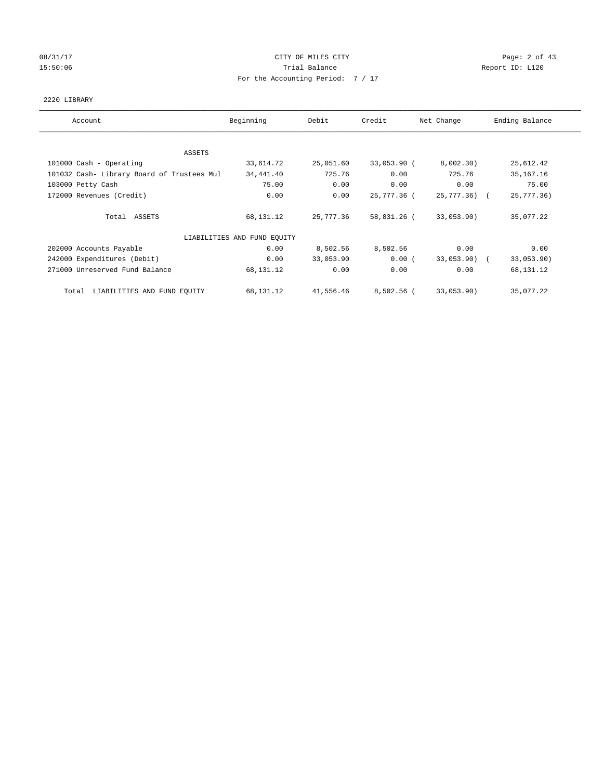# 08/31/17 Page: 2 of 43 15:50:06 Trial Balance Report ID: L120 For the Accounting Period: 7 / 17

## 2220 LIBRARY

| Account                                    | Beginning                   | Debit     | Credit      | Net Change   | Ending Balance |
|--------------------------------------------|-----------------------------|-----------|-------------|--------------|----------------|
|                                            |                             |           |             |              |                |
| ASSETS                                     |                             |           |             |              |                |
| 101000 Cash - Operating                    | 33,614.72                   | 25,051.60 | 33,053.90 ( | 8,002.30)    | 25,612.42      |
| 101032 Cash- Library Board of Trustees Mul | 34,441.40                   | 725.76    | 0.00        | 725.76       | 35, 167. 16    |
| 103000 Petty Cash                          | 75.00                       | 0.00      | 0.00        | 0.00         | 75.00          |
| 172000 Revenues (Credit)                   | 0.00                        | 0.00      | 25,777.36 ( | 25,777.36) ( | 25,777.36)     |
| Total ASSETS                               | 68,131.12                   | 25,777.36 | 58,831.26 ( | 33,053.90)   | 35,077.22      |
|                                            | LIABILITIES AND FUND EQUITY |           |             |              |                |
| 202000 Accounts Payable                    | 0.00                        | 8,502.56  | 8,502.56    | 0.00         | 0.00           |
| 242000 Expenditures (Debit)                | 0.00                        | 33,053.90 | 0.00(       | 33,053.90) ( | 33,053.90)     |
| 271000 Unreserved Fund Balance             | 68,131.12                   | 0.00      | 0.00        | 0.00         | 68,131.12      |
| LIABILITIES AND FUND EQUITY<br>Total       | 68,131.12                   | 41,556.46 | 8,502.56 (  | 33,053.90)   | 35,077.22      |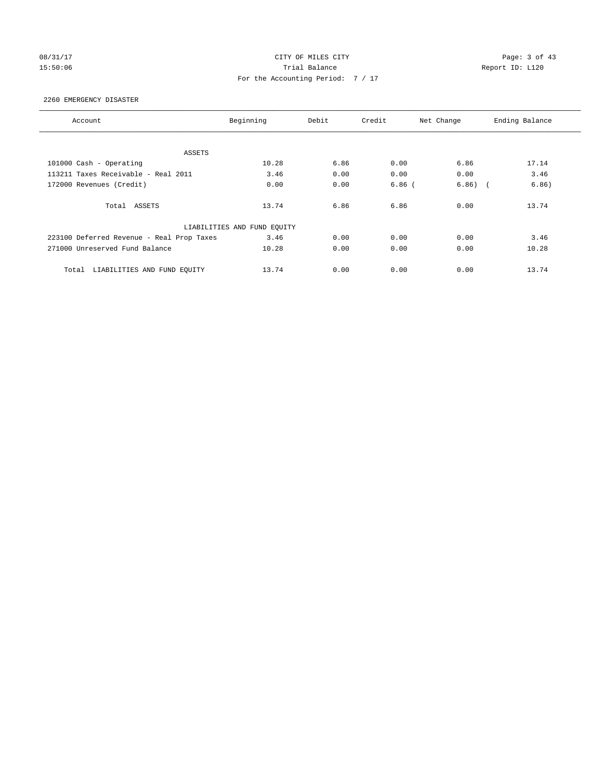# 08/31/17 Page: 3 of 43 15:50:06 Trial Balance Report ID: L120 For the Accounting Period: 7 / 17

## 2260 EMERGENCY DISASTER

| Account                                   | Beginning                   | Debit | Credit   | Net Change                        | Ending Balance |
|-------------------------------------------|-----------------------------|-------|----------|-----------------------------------|----------------|
|                                           |                             |       |          |                                   |                |
| ASSETS                                    |                             |       |          |                                   |                |
| 101000 Cash - Operating                   | 10.28                       | 6.86  | 0.00     | 6.86                              | 17.14          |
| 113211 Taxes Receivable - Real 2011       | 3.46                        | 0.00  | 0.00     | 0.00                              | 3.46           |
| 172000 Revenues (Credit)                  | 0.00                        | 0.00  | $6.86$ ( | 6.86)<br>$\overline{\phantom{a}}$ | 6.86)          |
| Total ASSETS                              | 13.74                       | 6.86  | 6.86     | 0.00                              | 13.74          |
|                                           | LIABILITIES AND FUND EQUITY |       |          |                                   |                |
| 223100 Deferred Revenue - Real Prop Taxes | 3.46                        | 0.00  | 0.00     | 0.00                              | 3.46           |
| 271000 Unreserved Fund Balance            | 10.28                       | 0.00  | 0.00     | 0.00                              | 10.28          |
| LIABILITIES AND FUND EQUITY<br>Total      | 13.74                       | 0.00  | 0.00     | 0.00                              | 13.74          |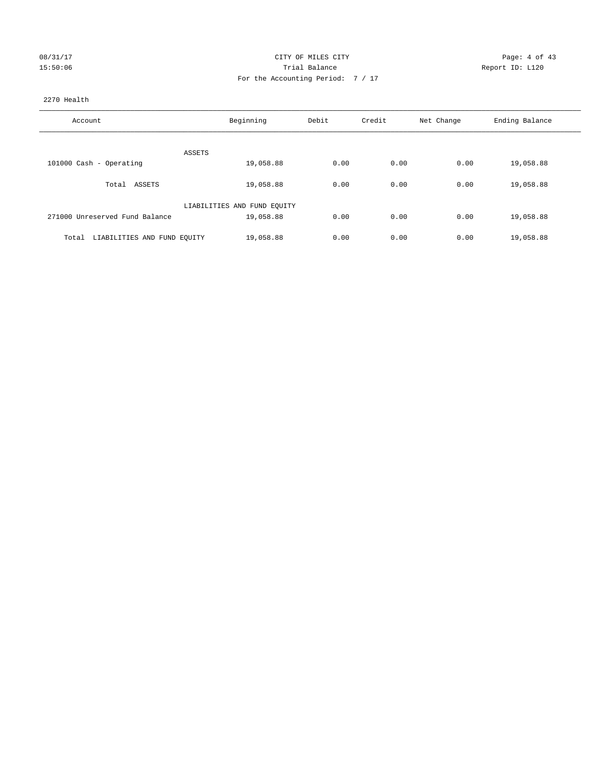| 08/31/17 |  |
|----------|--|
| 15:50:06 |  |

# CITY OF MILES CITY CONTROL CONTROL CONTROL CITY 15:50:06 Report ID: L120 For the Accounting Period: 7 / 17

## 2270 Health

| Account                              | Beginning                   | Debit | Credit | Net Change | Ending Balance |
|--------------------------------------|-----------------------------|-------|--------|------------|----------------|
|                                      |                             |       |        |            |                |
|                                      | ASSETS                      |       |        |            |                |
| 101000 Cash - Operating              | 19,058.88                   | 0.00  | 0.00   | 0.00       | 19,058.88      |
| Total ASSETS                         | 19,058.88                   | 0.00  | 0.00   | 0.00       | 19,058.88      |
|                                      | LIABILITIES AND FUND EQUITY |       |        |            |                |
| 271000 Unreserved Fund Balance       | 19,058.88                   | 0.00  | 0.00   | 0.00       | 19,058.88      |
|                                      |                             |       |        |            |                |
| LIABILITIES AND FUND EQUITY<br>Total | 19,058.88                   | 0.00  | 0.00   | 0.00       | 19,058.88      |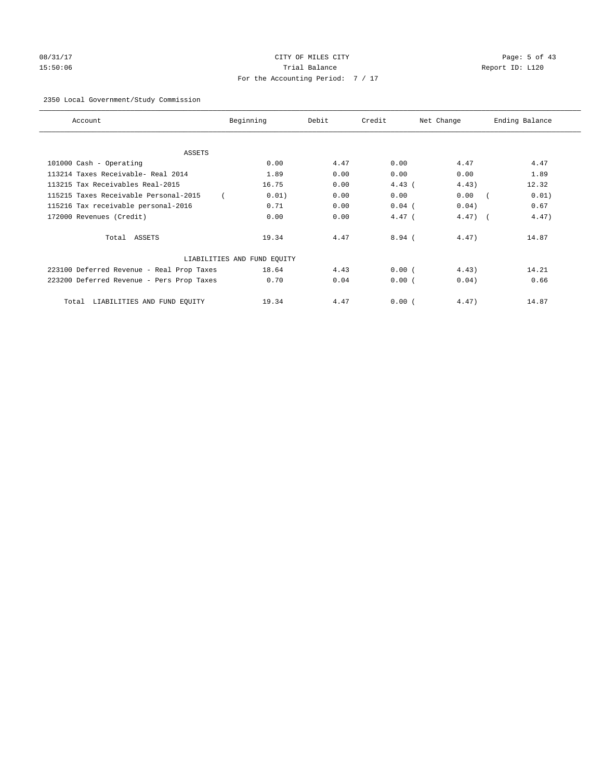# 08/31/17 Page: 5 of 43 15:50:06 Trial Balance Report ID: L120 For the Accounting Period: 7 / 17

## 2350 Local Government/Study Commission

| Account                                   | Beginning                   | Debit | Credit   | Net Change | Ending Balance |
|-------------------------------------------|-----------------------------|-------|----------|------------|----------------|
| <b>ASSETS</b>                             |                             |       |          |            |                |
| 101000 Cash - Operating                   | 0.00                        | 4.47  | 0.00     | 4.47       | 4.47           |
| 113214 Taxes Receivable- Real 2014        | 1.89                        | 0.00  | 0.00     | 0.00       | 1.89           |
| 113215 Tax Receivables Real-2015          | 16.75                       | 0.00  | $4.43$ ( | 4.43)      | 12.32          |
| 115215 Taxes Receivable Personal-2015     | 0.01)                       | 0.00  | 0.00     | 0.00       | 0.01)          |
| 115216 Tax receivable personal-2016       | 0.71                        | 0.00  | $0.04$ ( | 0.04)      | 0.67           |
| 172000 Revenues (Credit)                  | 0.00                        | 0.00  | $4.47$ ( | $4.47$ ) ( | 4.47)          |
| Total ASSETS                              | 19.34                       | 4.47  | $8.94$ ( | 4.47)      | 14.87          |
|                                           | LIABILITIES AND FUND EQUITY |       |          |            |                |
| 223100 Deferred Revenue - Real Prop Taxes | 18.64                       | 4.43  | 0.00(    | 4.43)      | 14.21          |
| 223200 Deferred Revenue - Pers Prop Taxes | 0.70                        | 0.04  | 0.00(    | 0.04)      | 0.66           |
| LIABILITIES AND FUND EQUITY<br>Total      | 19.34                       | 4.47  | 0.00(    | 4.47)      | 14.87          |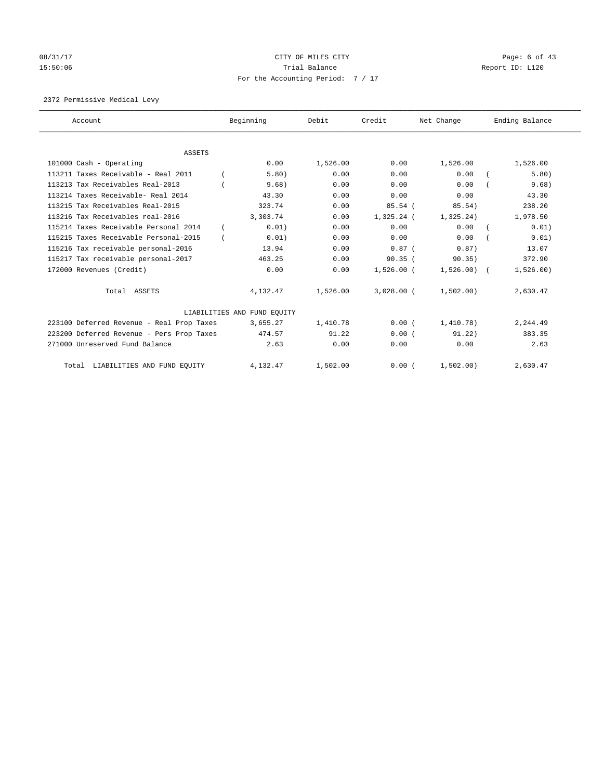# 08/31/17 Page: 6 of 43 15:50:06 Trial Balance Report ID: L120 For the Accounting Period: 7 / 17

## 2372 Permissive Medical Levy

| Account                                   | Beginning                   | Debit    | Credit       | Net Change   | Ending Balance |
|-------------------------------------------|-----------------------------|----------|--------------|--------------|----------------|
| <b>ASSETS</b>                             |                             |          |              |              |                |
| 101000 Cash - Operating                   | 0.00                        | 1,526.00 | 0.00         | 1,526.00     | 1,526.00       |
| 113211 Taxes Receivable - Real 2011       | 5.80)                       | 0.00     | 0.00         | 0.00         | 5.80)          |
| 113213 Tax Receivables Real-2013          | 9.68)                       | 0.00     | 0.00         | 0.00         | 9.68)          |
| 113214 Taxes Receivable- Real 2014        | 43.30                       | 0.00     | 0.00         | 0.00         | 43.30          |
| 113215 Tax Receivables Real-2015          | 323.74                      | 0.00     | 85.54(       | 85.54)       | 238.20         |
| 113216 Tax Receivables real-2016          | 3,303.74                    | 0.00     | $1,325.24$ ( | 1,325.24)    | 1,978.50       |
| 115214 Taxes Receivable Personal 2014     | 0.01)                       | 0.00     | 0.00         | 0.00         | 0.01)          |
| 115215 Taxes Receivable Personal-2015     | 0.01)                       | 0.00     | 0.00         | 0.00         | 0.01)          |
| 115216 Tax receivable personal-2016       | 13.94                       | 0.00     | $0.87$ (     | 0.87)        | 13.07          |
| 115217 Tax receivable personal-2017       | 463.25                      | 0.00     | 90.35(       | 90.35)       | 372.90         |
| 172000 Revenues (Credit)                  | 0.00                        | 0.00     | $1.526.00$ ( | $1,526.00$ ( | 1,526.00)      |
|                                           |                             |          |              |              |                |
| Total ASSETS                              | 4,132.47                    | 1,526.00 | $3.028.00$ ( | 1,502,00)    | 2,630.47       |
|                                           | LIABILITIES AND FUND EQUITY |          |              |              |                |
| 223100 Deferred Revenue - Real Prop Taxes | 3,655.27                    | 1,410.78 | 0.00(        | 1,410.78)    | 2,244.49       |
| 223200 Deferred Revenue - Pers Prop Taxes | 474.57                      | 91.22    | 0.00(        | 91.22)       | 383.35         |
| 271000 Unreserved Fund Balance            | 2.63                        | 0.00     | 0.00         | 0.00         | 2.63           |
| Total LIABILITIES AND FUND EQUITY         | 4,132.47                    | 1,502.00 | 0.00(        | 1,502.00)    | 2,630.47       |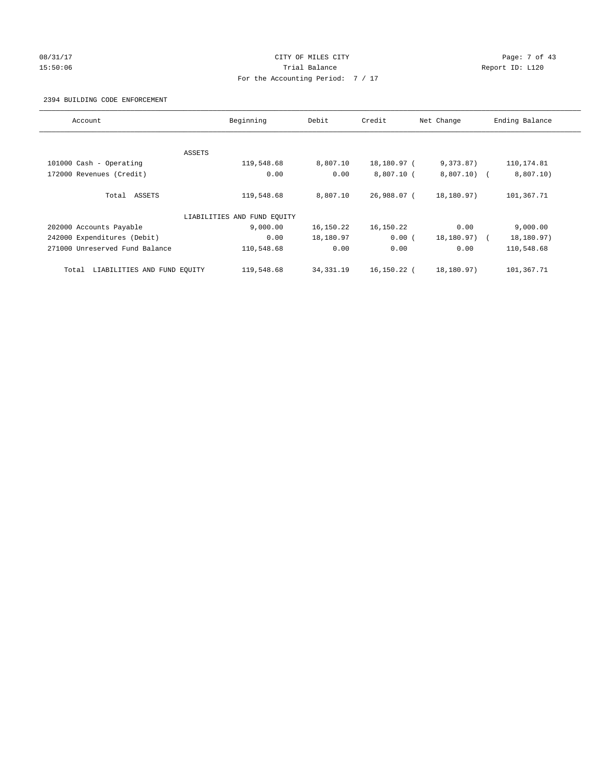## 08/31/17 Page: 7 of 43 15:50:06 Trial Balance Report ID: L120 For the Accounting Period: 7 / 17

## 2394 BUILDING CODE ENFORCEMENT

| Account                              | Beginning                   | Debit       | Credit       | Net Change   | Ending Balance |
|--------------------------------------|-----------------------------|-------------|--------------|--------------|----------------|
|                                      |                             |             |              |              |                |
|                                      | ASSETS                      |             |              |              |                |
| 101000 Cash - Operating              | 119,548.68                  | 8,807.10    | 18,180.97 (  | 9,373.87)    | 110,174.81     |
| 172000 Revenues (Credit)             | 0.00                        | 0.00        | $8,807.10$ ( | $8,807.10$ ( | 8,807.10)      |
| Total<br>ASSETS                      | 119,548.68                  | 8,807.10    | 26,988.07 (  | 18,180.97)   | 101,367.71     |
|                                      | LIABILITIES AND FUND EQUITY |             |              |              |                |
| 202000 Accounts Payable              | 9,000.00                    | 16,150.22   | 16,150.22    | 0.00         | 9,000.00       |
| 242000 Expenditures (Debit)          | 0.00                        | 18,180.97   | 0.00(        | 18,180.97)   | 18,180.97)     |
| 271000 Unreserved Fund Balance       | 110,548.68                  | 0.00        | 0.00         | 0.00         | 110,548.68     |
| LIABILITIES AND FUND EQUITY<br>Total | 119,548.68                  | 34, 331. 19 | 16,150.22 (  | 18,180.97)   | 101,367.71     |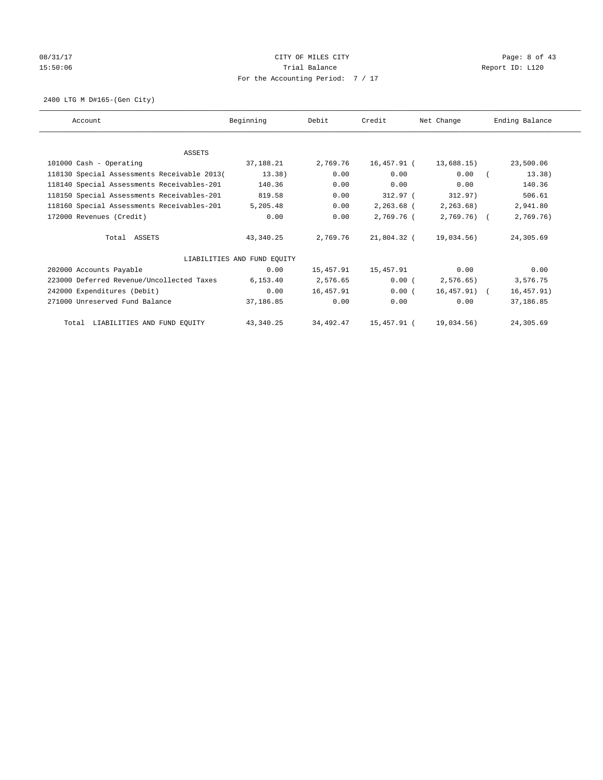## 08/31/17 Page: 8 of 43 15:50:06 Trial Balance Report ID: L120 For the Accounting Period: 7 / 17

2400 LTG M D#165-(Gen City)

| Account                                     | Beginning                   | Debit     | Credit      | Net Change   | Ending Balance |
|---------------------------------------------|-----------------------------|-----------|-------------|--------------|----------------|
|                                             |                             |           |             |              |                |
| <b>ASSETS</b>                               |                             |           |             |              |                |
| 101000 Cash - Operating                     | 37,188.21                   | 2,769.76  | 16,457.91 ( | 13,688.15)   | 23,500.06      |
| 118130 Special Assessments Receivable 2013( | 13.38)                      | 0.00      | 0.00        | 0.00         | 13.38)         |
| 118140 Special Assessments Receivables-201  | 140.36                      | 0.00      | 0.00        | 0.00         | 140.36         |
| 118150 Special Assessments Receivables-201  | 819.58                      | 0.00      | 312.97 (    | 312.97)      | 506.61         |
| 118160 Special Assessments Receivables-201  | 5,205.48                    | 0.00      | 2,263.68 (  | 2, 263.68)   | 2,941.80       |
| 172000 Revenues (Credit)                    | 0.00                        | 0.00      | 2,769.76 (  | $2,769.76$ ( | 2,769.76)      |
| Total ASSETS                                | 43,340.25                   | 2,769.76  | 21,804.32 ( | 19,034.56)   | 24,305.69      |
|                                             | LIABILITIES AND FUND EQUITY |           |             |              |                |
| 202000 Accounts Payable                     | 0.00                        | 15,457.91 | 15,457.91   | 0.00         | 0.00           |
| 223000 Deferred Revenue/Uncollected Taxes   | 6, 153.40                   | 2,576.65  | 0.00(       | 2,576.65)    | 3,576.75       |
| 242000 Expenditures (Debit)                 | 0.00                        | 16,457.91 | 0.00(       | 16,457.91) ( | 16, 457.91)    |
| 271000 Unreserved Fund Balance              | 37,186.85                   | 0.00      | 0.00        | 0.00         | 37,186.85      |
| Total LIABILITIES AND FUND EQUITY           | 43, 340.25                  | 34,492.47 | 15,457.91 ( | 19,034.56)   | 24,305.69      |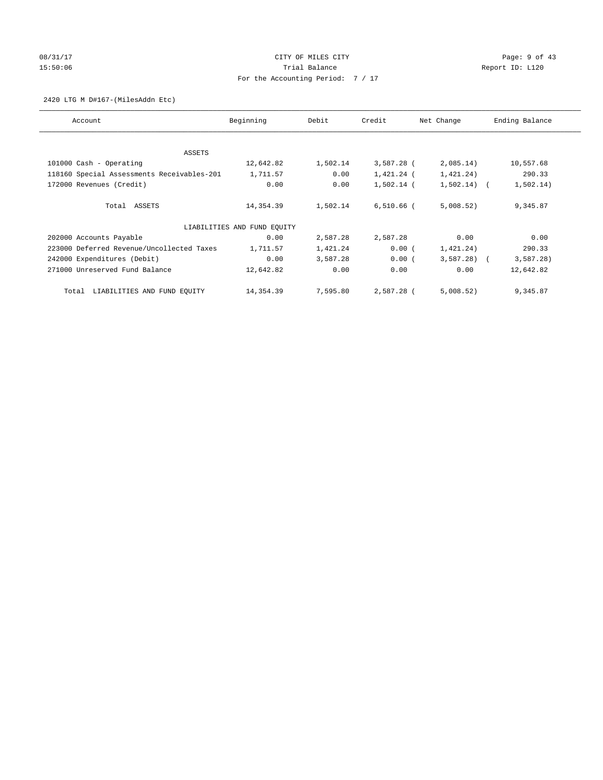# 08/31/17 Page: 9 of 43 15:50:06 Trial Balance Report ID: L120 For the Accounting Period: 7 / 17

## 2420 LTG M D#167-(MilesAddn Etc)

| Account                                    | Beginning                   | Debit    | Credit       | Net Change   | Ending Balance |
|--------------------------------------------|-----------------------------|----------|--------------|--------------|----------------|
|                                            |                             |          |              |              |                |
| ASSETS                                     |                             |          |              |              |                |
| 101000 Cash - Operating                    | 12,642.82                   | 1,502.14 | $3,587.28$ ( | 2,085.14)    | 10,557.68      |
| 118160 Special Assessments Receivables-201 | 1,711.57                    | 0.00     | 1,421.24 (   | 1,421.24)    | 290.33         |
| 172000 Revenues (Credit)                   | 0.00                        | 0.00     | $1,502.14$ ( | $1,502.14$ ( | 1,502.14)      |
| Total ASSETS                               | 14,354.39                   | 1,502.14 | $6,510.66$ ( | 5,008.52)    | 9,345.87       |
|                                            | LIABILITIES AND FUND EQUITY |          |              |              |                |
| 202000 Accounts Payable                    | 0.00                        | 2,587.28 | 2,587.28     | 0.00         | 0.00           |
| 223000 Deferred Revenue/Uncollected Taxes  | 1,711.57                    | 1,421.24 | $0.00$ (     | 1,421.24)    | 290.33         |
| 242000 Expenditures (Debit)                | 0.00                        | 3,587.28 | 0.00(        | $3,587.28$ ( | 3,587.28)      |
| 271000 Unreserved Fund Balance             | 12,642.82                   | 0.00     | 0.00         | 0.00         | 12,642.82      |
| LIABILITIES AND FUND EQUITY<br>Total       | 14,354.39                   | 7,595.80 | 2,587.28 (   | 5,008.52)    | 9,345.87       |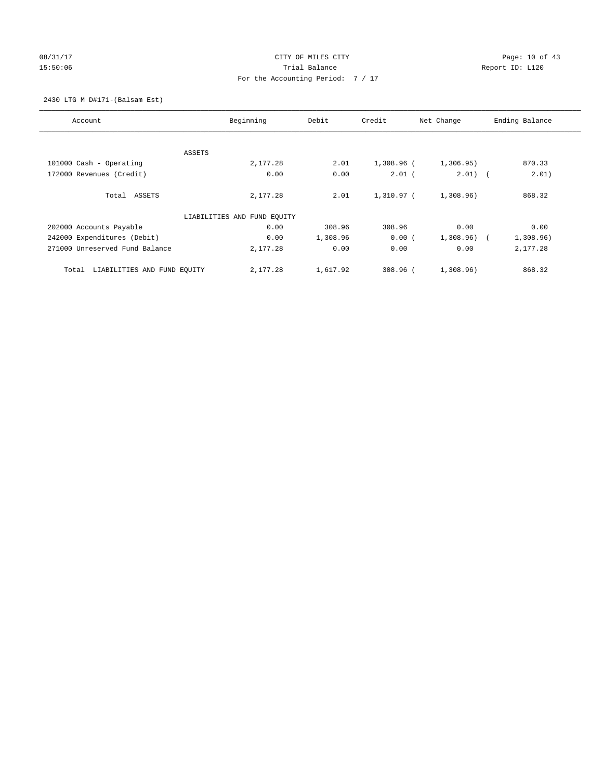## 08/31/17 Page: 10 of 43 15:50:06 Trial Balance Report ID: L120 For the Accounting Period: 7 / 17

2430 LTG M D#171-(Balsam Est)

| Account                              | Beginning                   | Debit    | Credit       | Net Change | Ending Balance      |
|--------------------------------------|-----------------------------|----------|--------------|------------|---------------------|
|                                      |                             |          |              |            |                     |
|                                      | ASSETS                      |          |              |            |                     |
| 101000 Cash - Operating              | 2,177.28                    | 2.01     | 1,308.96 (   | 1,306.95)  | 870.33              |
| 172000 Revenues (Credit)             | 0.00                        | 0.00     | $2.01$ (     | $2.01)$ (  | 2.01)               |
| Total ASSETS                         | 2,177.28                    | 2.01     | $1.310.97$ ( | 1,308.96)  | 868.32              |
|                                      | LIABILITIES AND FUND EQUITY |          |              |            |                     |
| 202000 Accounts Payable              | 0.00                        | 308.96   | 308.96       | 0.00       | 0.00                |
| 242000 Expenditures (Debit)          | 0.00                        | 1,308.96 | 0.00(        | 1,308.96)  | 1,308.96)<br>$\sim$ |
| 271000 Unreserved Fund Balance       | 2,177.28                    | 0.00     | 0.00         | 0.00       | 2,177.28            |
| LIABILITIES AND FUND EQUITY<br>Total | 2,177.28                    | 1,617.92 | $308.96$ (   | 1,308.96)  | 868.32              |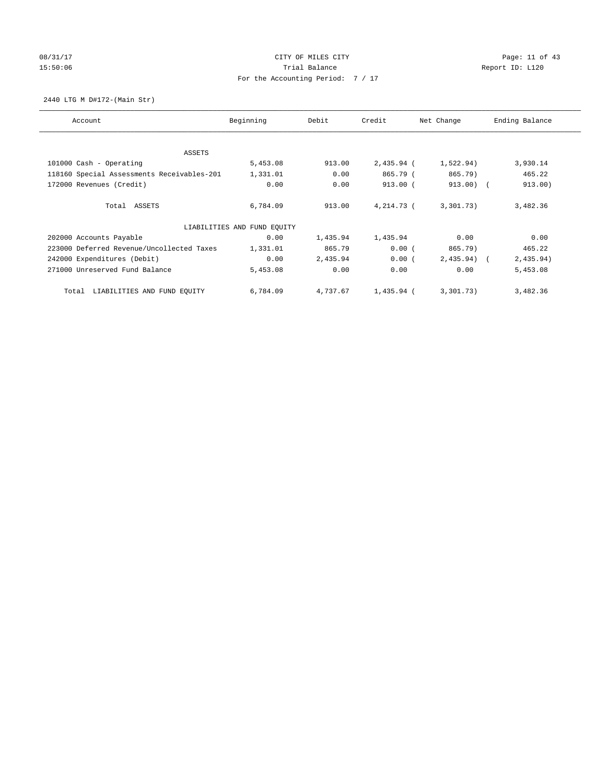# 08/31/17 Page: 11 of 43 15:50:06 Channel Balance Trial Balance Report ID: L120 For the Accounting Period: 7 / 17

2440 LTG M D#172-(Main Str)

| Account                                    | Beginning                   | Debit    | Credit       | Net Change   | Ending Balance |
|--------------------------------------------|-----------------------------|----------|--------------|--------------|----------------|
|                                            |                             |          |              |              |                |
| ASSETS                                     |                             |          |              |              |                |
| 101000 Cash - Operating                    | 5,453.08                    | 913.00   | $2,435.94$ ( | 1,522.94)    | 3,930.14       |
| 118160 Special Assessments Receivables-201 | 1,331.01                    | 0.00     | 865.79 (     | 865.79)      | 465.22         |
| 172000 Revenues (Credit)                   | 0.00                        | 0.00     | $913.00$ (   | $913.00)$ (  | 913.00)        |
| Total ASSETS                               | 6,784.09                    | 913.00   | 4,214.73 (   | 3,301.73)    | 3,482.36       |
|                                            | LIABILITIES AND FUND EQUITY |          |              |              |                |
| 202000 Accounts Payable                    | 0.00                        | 1,435.94 | 1,435.94     | 0.00         | 0.00           |
| 223000 Deferred Revenue/Uncollected Taxes  | 1,331.01                    | 865.79   | 0.00(        | 865.79)      | 465.22         |
| 242000 Expenditures (Debit)                | 0.00                        | 2,435.94 | 0.00(        | $2,435.94$ ( | 2,435.94)      |
| 271000 Unreserved Fund Balance             | 5,453.08                    | 0.00     | 0.00         | 0.00         | 5,453.08       |
| LIABILITIES AND FUND EQUITY<br>Total       | 6,784.09                    | 4,737.67 | 1,435.94 (   | 3,301.73)    | 3,482.36       |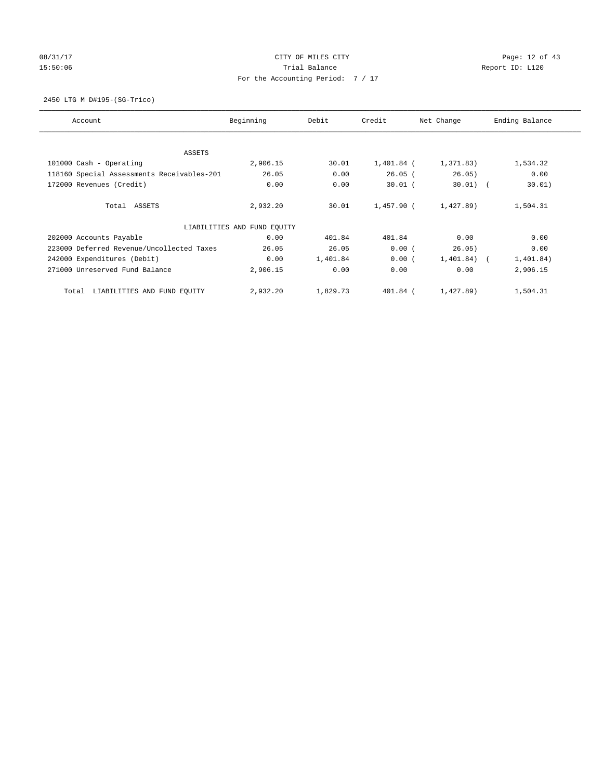# 08/31/17 Page: 12 of 43 15:50:06 Channel Balance Trial Balance Report ID: L120 For the Accounting Period: 7 / 17

2450 LTG M D#195-(SG-Trico)

| Account                                    | Beginning                   | Debit    | Credit     | Net Change     | Ending Balance |
|--------------------------------------------|-----------------------------|----------|------------|----------------|----------------|
|                                            |                             |          |            |                |                |
| ASSETS                                     |                             |          |            |                |                |
| 101000 Cash - Operating                    | 2,906.15                    | 30.01    | 1,401.84 ( | 1,371.83)      | 1,534.32       |
| 118160 Special Assessments Receivables-201 | 26.05                       | 0.00     | $26.05$ (  | 26.05)         | 0.00           |
| 172000 Revenues (Credit)                   | 0.00                        | 0.00     | $30.01$ (  | $30.01)$ (     | 30.01)         |
| Total ASSETS                               | 2,932.20                    | 30.01    | 1,457.90 ( | 1,427.89)      | 1,504.31       |
|                                            | LIABILITIES AND FUND EQUITY |          |            |                |                |
| 202000 Accounts Payable                    | 0.00                        | 401.84   | 401.84     | 0.00           | 0.00           |
| 223000 Deferred Revenue/Uncollected Taxes  | 26.05                       | 26.05    | 0.00(      | 26.05)         | 0.00           |
| 242000 Expenditures (Debit)                | 0.00                        | 1,401.84 | 0.00(      | $1,401.84$ ) ( | 1,401.84)      |
| 271000 Unreserved Fund Balance             | 2,906.15                    | 0.00     | 0.00       | 0.00           | 2,906.15       |
| LIABILITIES AND FUND EQUITY<br>Total       | 2,932.20                    | 1,829.73 | 401.84 (   | 1,427.89)      | 1,504.31       |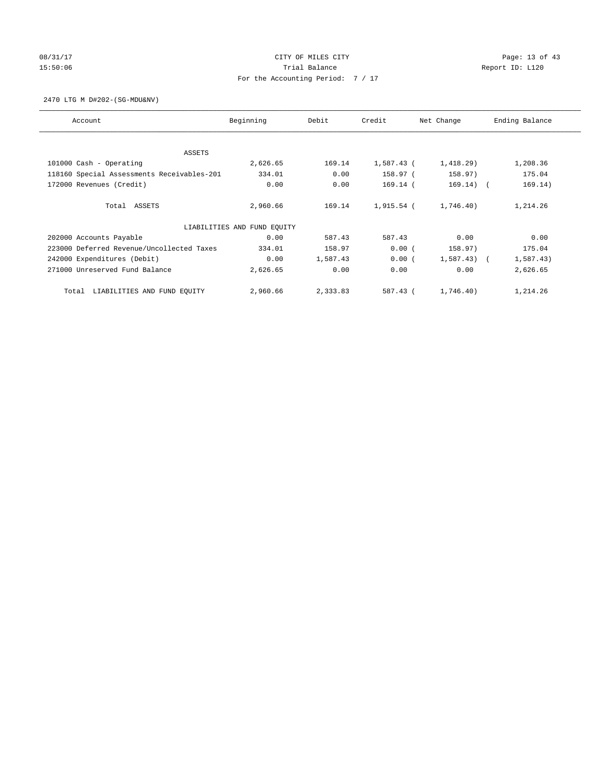# 08/31/17 Page: 13 of 43 15:50:06 Channel Balance Trial Balance Report ID: L120 For the Accounting Period: 7 / 17

2470 LTG M D#202-(SG-MDU&NV)

| Account                                    | Beginning                   | Debit    | Credit     | Net Change     | Ending Balance |
|--------------------------------------------|-----------------------------|----------|------------|----------------|----------------|
|                                            |                             |          |            |                |                |
| ASSETS                                     |                             |          |            |                |                |
| 101000 Cash - Operating                    | 2,626.65                    | 169.14   | 1,587.43 ( | 1,418.29       | 1,208.36       |
| 118160 Special Assessments Receivables-201 | 334.01                      | 0.00     | 158.97 (   | 158.97)        | 175.04         |
| 172000 Revenues (Credit)                   | 0.00                        | 0.00     | 169.14 (   | $169.14)$ (    | 169.14)        |
| Total ASSETS                               | 2,960.66                    | 169.14   | 1,915.54 ( | 1,746.40)      | 1,214.26       |
|                                            | LIABILITIES AND FUND EOUITY |          |            |                |                |
| 202000 Accounts Payable                    | 0.00                        | 587.43   | 587.43     | 0.00           | 0.00           |
| 223000 Deferred Revenue/Uncollected Taxes  | 334.01                      | 158.97   | 0.00(      | 158.97)        | 175.04         |
| 242000 Expenditures (Debit)                | 0.00                        | 1,587.43 | 0.00(      | $1,587.43$ ) ( | 1,587.43)      |
| 271000 Unreserved Fund Balance             | 2,626.65                    | 0.00     | 0.00       | 0.00           | 2,626.65       |
| LIABILITIES AND FUND EQUITY<br>Total       | 2,960.66                    | 2,333.83 | 587.43 (   | 1,746.40)      | 1,214.26       |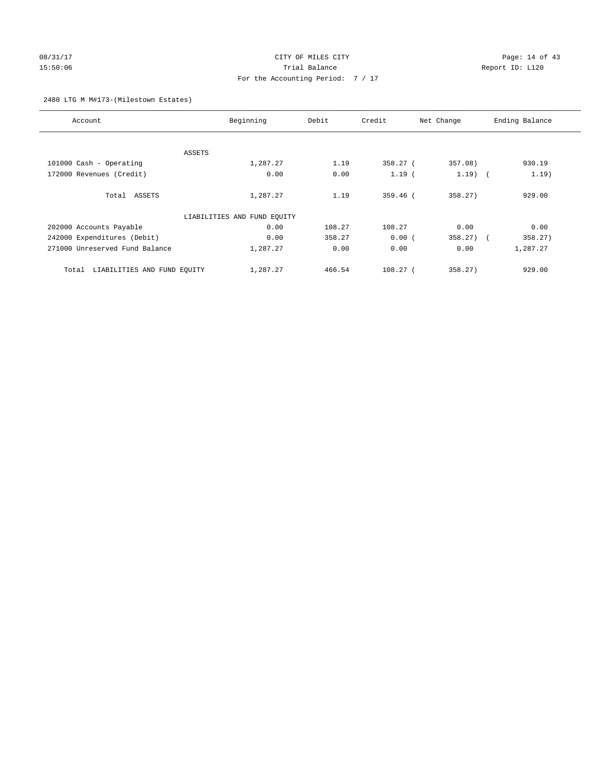# 08/31/17 Page: 14 of 43 15:50:06 Trial Balance Report ID: L120 For the Accounting Period: 7 / 17

## 2480 LTG M M#173-(Milestown Estates)

| Account                              | Beginning                   | Debit  | Credit     | Net Change | Ending Balance |
|--------------------------------------|-----------------------------|--------|------------|------------|----------------|
|                                      |                             |        |            |            |                |
| ASSETS                               |                             |        |            |            |                |
| 101000 Cash - Operating              | 1,287.27                    | 1.19   | 358.27 (   | 357.08)    | 930.19         |
| 172000 Revenues (Credit)             | 0.00                        | 0.00   | $1.19$ (   | $1.19$ (   | 1.19)          |
| Total ASSETS                         | 1,287.27                    | 1.19   | $359.46$ ( | 358.27)    | 929.00         |
|                                      | LIABILITIES AND FUND EQUITY |        |            |            |                |
| 202000 Accounts Payable              | 0.00                        | 108.27 | 108.27     | 0.00       | 0.00           |
| 242000 Expenditures (Debit)          | 0.00                        | 358.27 | 0.00(      | $358.27$ ( | 358.27)        |
| 271000 Unreserved Fund Balance       | 1,287.27                    | 0.00   | 0.00       | 0.00       | 1,287.27       |
| LIABILITIES AND FUND EQUITY<br>Total | 1,287.27                    | 466.54 | $108.27$ ( | 358.27)    | 929.00         |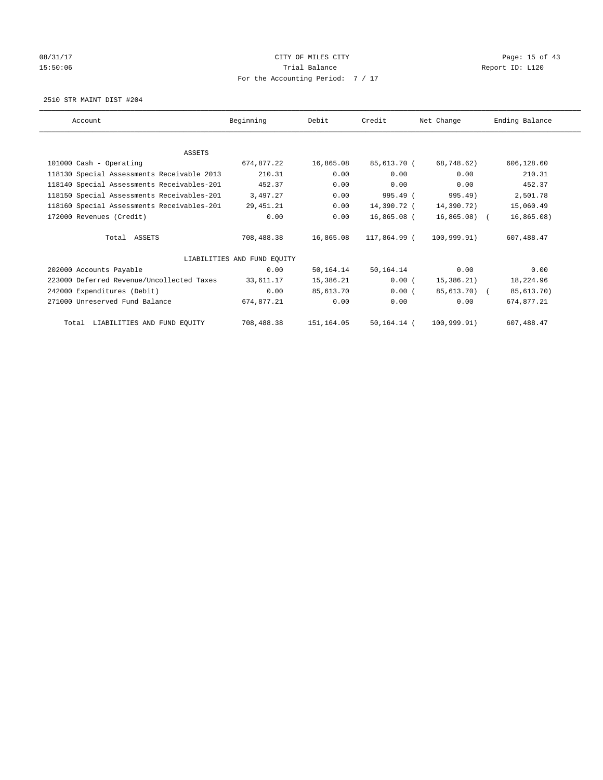# 08/31/17 Page: 15 of 43 15:50:06 Channel Balance Trial Balance Report ID: L120 For the Accounting Period: 7 / 17

2510 STR MAINT DIST #204

| Account                                    | Beginning                   | Debit      | Credit       | Net Change   | Ending Balance |
|--------------------------------------------|-----------------------------|------------|--------------|--------------|----------------|
|                                            |                             |            |              |              |                |
| <b>ASSETS</b>                              |                             |            |              |              |                |
| 101000 Cash - Operating                    | 674,877.22                  | 16,865.08  | 85,613.70 (  | 68,748.62)   | 606,128.60     |
| 118130 Special Assessments Receivable 2013 | 210.31                      | 0.00       | 0.00         | 0.00         | 210.31         |
| 118140 Special Assessments Receivables-201 | 452.37                      | 0.00       | 0.00         | 0.00         | 452.37         |
| 118150 Special Assessments Receivables-201 | 3,497.27                    | 0.00       | 995.49 (     | 995.49)      | 2,501.78       |
| 118160 Special Assessments Receivables-201 | 29,451.21                   | 0.00       | 14,390.72 (  | 14,390.72)   | 15,060.49      |
| 172000 Revenues (Credit)                   | 0.00                        | 0.00       | 16,865.08 (  | 16,865.08) ( | 16,865.08)     |
| Total ASSETS                               | 708,488.38                  | 16,865.08  | 117,864.99 ( | 100.999.91)  | 607, 488, 47   |
|                                            | LIABILITIES AND FUND EQUITY |            |              |              |                |
| 202000 Accounts Payable                    | 0.00                        | 50,164.14  | 50,164.14    | 0.00         | 0.00           |
| 223000 Deferred Revenue/Uncollected Taxes  | 33,611.17                   | 15,386.21  | 0.00(        | 15,386.21)   | 18,224.96      |
| 242000 Expenditures (Debit)                | 0.00                        | 85,613.70  | 0.00(        | 85,613.70) ( | 85,613.70)     |
| 271000 Unreserved Fund Balance             | 674,877.21                  | 0.00       | 0.00         | 0.00         | 674,877.21     |
| Total LIABILITIES AND FUND EQUITY          | 708,488.38                  | 151,164.05 | 50,164.14 (  | 100.999.91)  | 607,488.47     |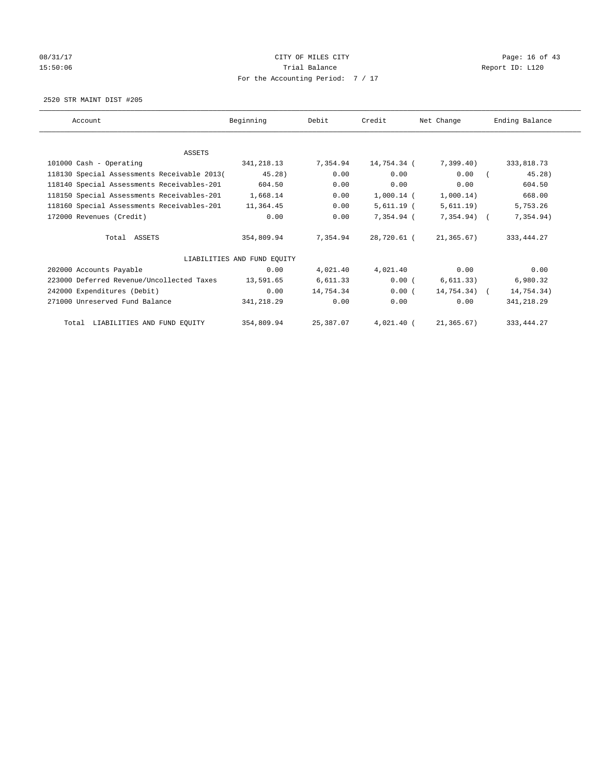# 08/31/17 Page: 16 of 43 15:50:06 Channel Balance Trial Balance Report ID: L120 For the Accounting Period: 7 / 17

2520 STR MAINT DIST #205

| Account                                     | Beginning                   | Debit     | Credit       | Net Change     | Ending Balance |
|---------------------------------------------|-----------------------------|-----------|--------------|----------------|----------------|
|                                             |                             |           |              |                |                |
| ASSETS                                      |                             |           |              |                |                |
| 101000 Cash - Operating                     | 341,218.13                  | 7,354.94  | 14,754.34 (  | 7,399.40)      | 333,818.73     |
| 118130 Special Assessments Receivable 2013( | 45.28)                      | 0.00      | 0.00         | 0.00           | 45.28          |
| 118140 Special Assessments Receivables-201  | 604.50                      | 0.00      | 0.00         | 0.00           | 604.50         |
| 118150 Special Assessments Receivables-201  | 1,668.14                    | 0.00      | $1,000.14$ ( | 1,000.14)      | 668.00         |
| 118160 Special Assessments Receivables-201  | 11,364.45                   | 0.00      | $5,611.19$ ( | 5,611.19)      | 5,753.26       |
| 172000 Revenues (Credit)                    | 0.00                        | 0.00      | $7.354.94$ ( | 7,354.94) (    | 7,354.94)      |
| Total ASSETS                                | 354,809.94                  | 7.354.94  | 28,720.61 (  | 21,365.67)     | 333, 444.27    |
|                                             | LIABILITIES AND FUND EOUITY |           |              |                |                |
| 202000 Accounts Payable                     | 0.00                        | 4,021.40  | 4,021.40     | 0.00           | 0.00           |
| 223000 Deferred Revenue/Uncollected Taxes   | 13,591.65                   | 6,611.33  | $0.00$ (     | 6, 611.33)     | 6,980.32       |
| 242000 Expenditures (Debit)                 | 0.00                        | 14,754.34 | 0.00(        | $14,754.34)$ ( | 14,754.34)     |
| 271000 Unreserved Fund Balance              | 341,218.29                  | 0.00      | 0.00         | 0.00           | 341,218.29     |
| Total LIABILITIES AND FUND EQUITY           | 354,809.94                  | 25,387.07 | $4,021.40$ ( | 21,365.67)     | 333, 444.27    |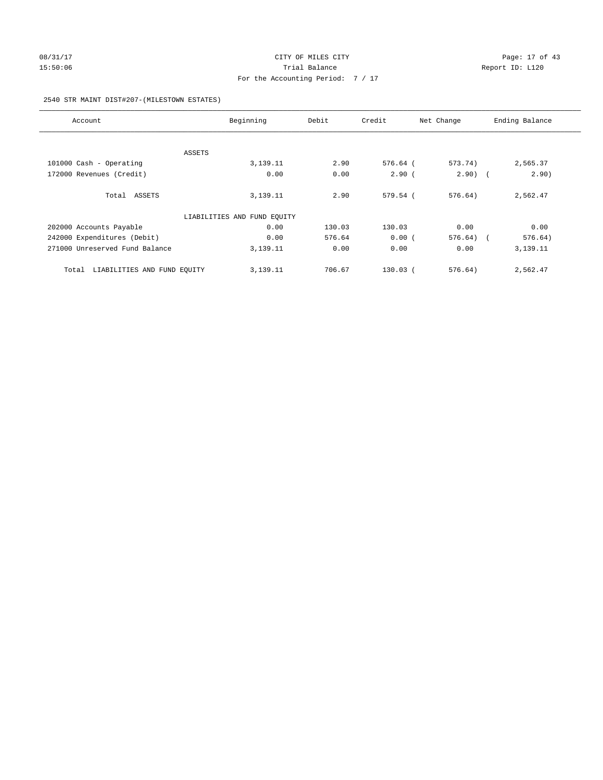# 08/31/17 Page: 17 of 43 15:50:06 Channel Balance Trial Balance Report ID: L120 For the Accounting Period: 7 / 17

## 2540 STR MAINT DIST#207-(MILESTOWN ESTATES)

| Account                              | Beginning                   | Debit  | Credit     | Net Change | Ending Balance        |
|--------------------------------------|-----------------------------|--------|------------|------------|-----------------------|
|                                      |                             |        |            |            |                       |
| ASSETS                               |                             |        |            |            |                       |
| 101000 Cash - Operating              | 3,139.11                    | 2.90   | 576.64 (   | 573.74)    | 2,565.37              |
| 172000 Revenues (Credit)             | 0.00                        | 0.00   | $2.90$ (   | $2.90)$ (  | 2.90)                 |
| Total ASSETS                         | 3,139.11                    | 2.90   | 579.54 (   | 576.64)    | 2,562.47              |
|                                      | LIABILITIES AND FUND EQUITY |        |            |            |                       |
| 202000 Accounts Payable              | 0.00                        | 130.03 | 130.03     | 0.00       | 0.00                  |
| 242000 Expenditures (Debit)          | 0.00                        | 576.64 | 0.00(      | 576.64)    | 576.64)<br>$\sqrt{2}$ |
| 271000 Unreserved Fund Balance       | 3,139.11                    | 0.00   | 0.00       | 0.00       | 3,139.11              |
| LIABILITIES AND FUND EQUITY<br>Total | 3,139.11                    | 706.67 | $130.03$ ( | 576.64)    | 2,562.47              |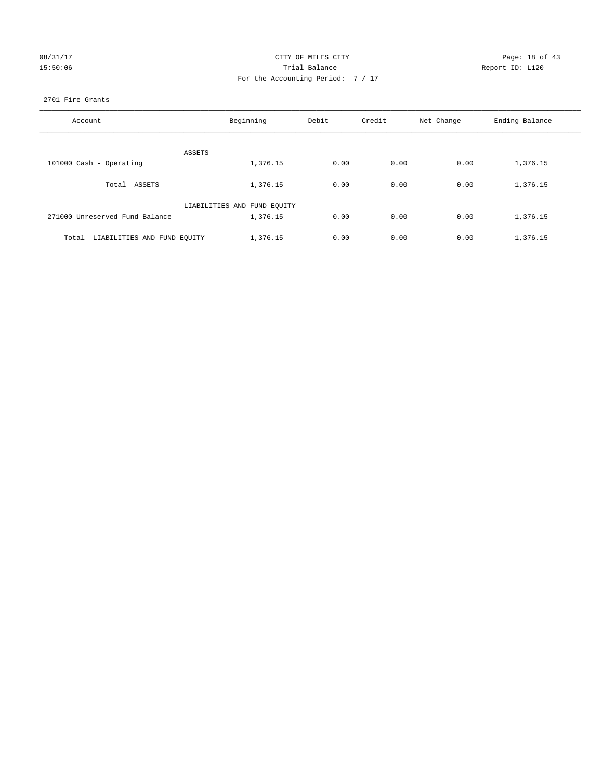| 08/31/17 |
|----------|
| 15:50:06 |

# CITY OF MILES CITY Page: 18 of 43<br>Trial Balance Report ID: L120 15:50:06 Report ID: L120 For the Accounting Period: 7 / 17

## 2701 Fire Grants

| Account                              | Beginning                   | Debit | Credit | Net Change | Ending Balance |
|--------------------------------------|-----------------------------|-------|--------|------------|----------------|
|                                      |                             |       |        |            |                |
| ASSETS                               |                             |       |        |            |                |
| 101000 Cash - Operating              | 1,376.15                    | 0.00  | 0.00   | 0.00       | 1,376.15       |
| Total ASSETS                         | 1,376.15                    | 0.00  | 0.00   | 0.00       | 1,376.15       |
|                                      | LIABILITIES AND FUND EQUITY |       |        |            |                |
| 271000 Unreserved Fund Balance       | 1,376.15                    | 0.00  | 0.00   | 0.00       | 1,376.15       |
| LIABILITIES AND FUND EQUITY<br>Total | 1,376.15                    | 0.00  | 0.00   | 0.00       | 1,376.15       |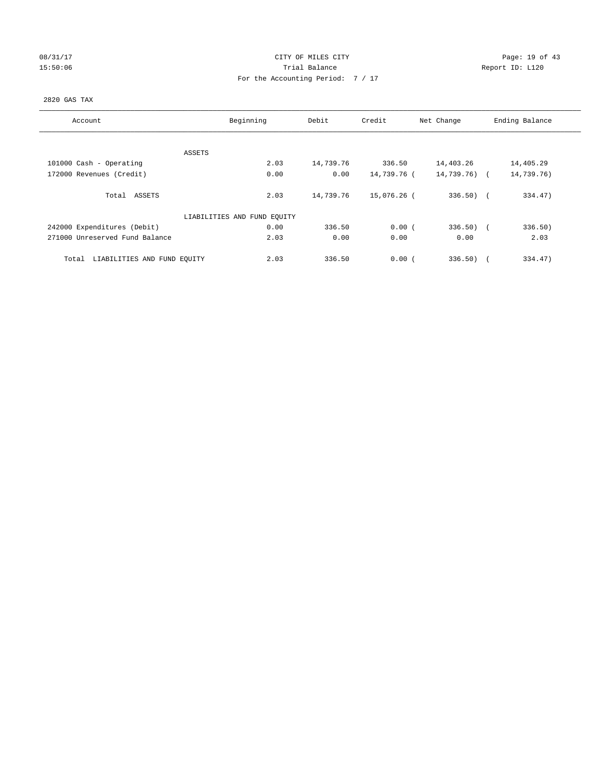# 08/31/17 Page: 19 of 43 15:50:06 Trial Balance Report ID: L120 For the Accounting Period: 7 / 17

## 2820 GAS TAX

| Account                              | Beginning                   | Debit     | Credit      | Net Change   | Ending Balance |
|--------------------------------------|-----------------------------|-----------|-------------|--------------|----------------|
| ASSETS                               |                             |           |             |              |                |
| 101000 Cash - Operating              | 2.03                        | 14,739.76 | 336.50      | 14,403.26    | 14,405.29      |
| 172000 Revenues (Credit)             | 0.00                        | 0.00      | 14,739.76 ( | 14,739.76) ( | 14,739.76)     |
| Total ASSETS                         | 2.03                        | 14,739.76 | 15,076.26 ( | $336.50$ (   | 334.47)        |
|                                      | LIABILITIES AND FUND EQUITY |           |             |              |                |
| 242000 Expenditures (Debit)          | 0.00                        | 336.50    | 0.00(       | $336.50$ (   | 336.50)        |
| 271000 Unreserved Fund Balance       | 2.03                        | 0.00      | 0.00        | 0.00         | 2.03           |
| LIABILITIES AND FUND EQUITY<br>Total | 2.03                        | 336.50    | 0.00(       | 336.50       | 334.47)        |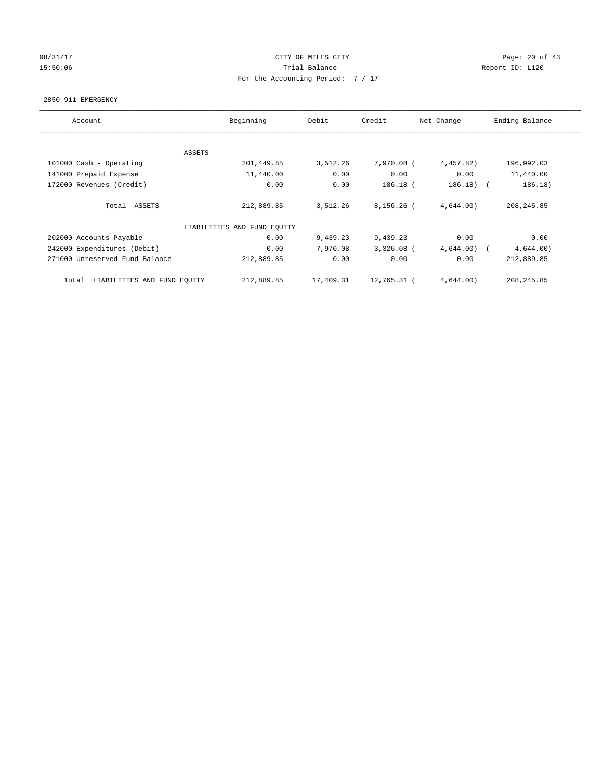## 08/31/17 Page: 20 of 43 15:50:06 Trial Balance Report ID: L120 For the Accounting Period: 7 / 17

### 2850 911 EMERGENCY

| Account                              | Beginning                   | Debit     | Credit       | Net Change | Ending Balance        |
|--------------------------------------|-----------------------------|-----------|--------------|------------|-----------------------|
|                                      |                             |           |              |            |                       |
|                                      | ASSETS                      |           |              |            |                       |
| 101000 Cash - Operating              | 201,449.85                  | 3,512.26  | 7,970.08 (   | 4,457.82)  | 196,992.03            |
| 141000 Prepaid Expense               | 11,440.00                   | 0.00      | 0.00         | 0.00       | 11,440.00             |
| 172000 Revenues (Credit)             | 0.00                        | 0.00      | $186.18$ (   | 186.18)    | 186.18)<br>$\sqrt{2}$ |
|                                      |                             |           |              |            |                       |
| Total ASSETS                         | 212,889.85                  | 3,512.26  | $8,156.26$ ( | 4,644.00)  | 208, 245.85           |
|                                      |                             |           |              |            |                       |
|                                      | LIABILITIES AND FUND EQUITY |           |              |            |                       |
| 202000 Accounts Payable              | 0.00                        | 9,439.23  | 9,439.23     | 0.00       | 0.00                  |
| 242000 Expenditures (Debit)          | 0.00                        | 7,970.08  | $3,326.08$ ( | 4,644.00)  | 4,644.00)             |
| 271000 Unreserved Fund Balance       | 212,889.85                  | 0.00      | 0.00         | 0.00       | 212,889.85            |
|                                      |                             |           |              |            |                       |
| LIABILITIES AND FUND EQUITY<br>Total | 212,889.85                  | 17,409.31 | 12,765.31 (  | 4,644.00)  | 208, 245.85           |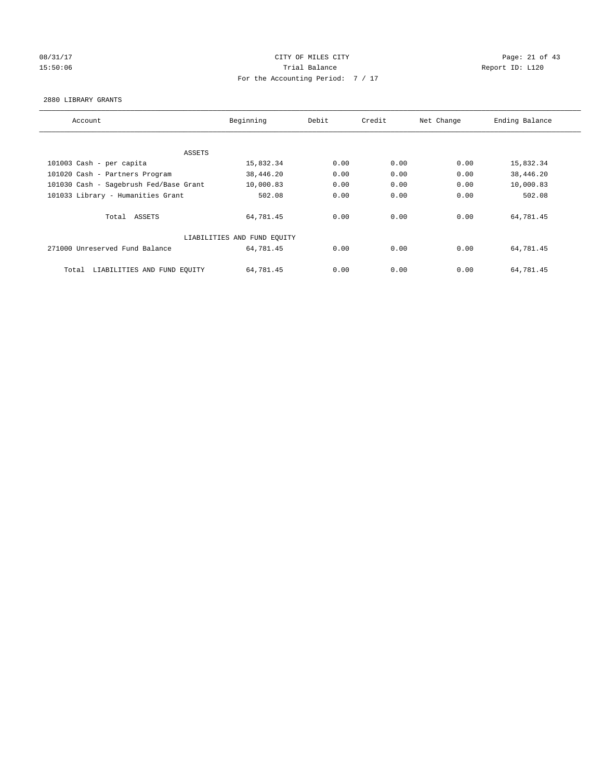# 08/31/17 Page: 21 of 43 15:50:06 Report ID: L120 For the Accounting Period: 7 / 17

### 2880 LIBRARY GRANTS

| Account                                | Beginning                   | Debit | Credit | Net Change | Ending Balance |
|----------------------------------------|-----------------------------|-------|--------|------------|----------------|
|                                        |                             |       |        |            |                |
| ASSETS                                 |                             |       |        |            |                |
| 101003 Cash - per capita               | 15,832.34                   | 0.00  | 0.00   | 0.00       | 15,832.34      |
| 101020 Cash - Partners Program         | 38,446.20                   | 0.00  | 0.00   | 0.00       | 38,446.20      |
| 101030 Cash - Sagebrush Fed/Base Grant | 10,000.83                   | 0.00  | 0.00   | 0.00       | 10,000.83      |
| 101033 Library - Humanities Grant      | 502.08                      | 0.00  | 0.00   | 0.00       | 502.08         |
| Total ASSETS                           | 64,781.45                   | 0.00  | 0.00   | 0.00       | 64,781.45      |
|                                        | LIABILITIES AND FUND EQUITY |       |        |            |                |
| 271000 Unreserved Fund Balance         | 64,781.45                   | 0.00  | 0.00   | 0.00       | 64,781.45      |
|                                        |                             |       |        |            |                |
| LIABILITIES AND FUND EQUITY<br>Total   | 64,781.45                   | 0.00  | 0.00   | 0.00       | 64,781.45      |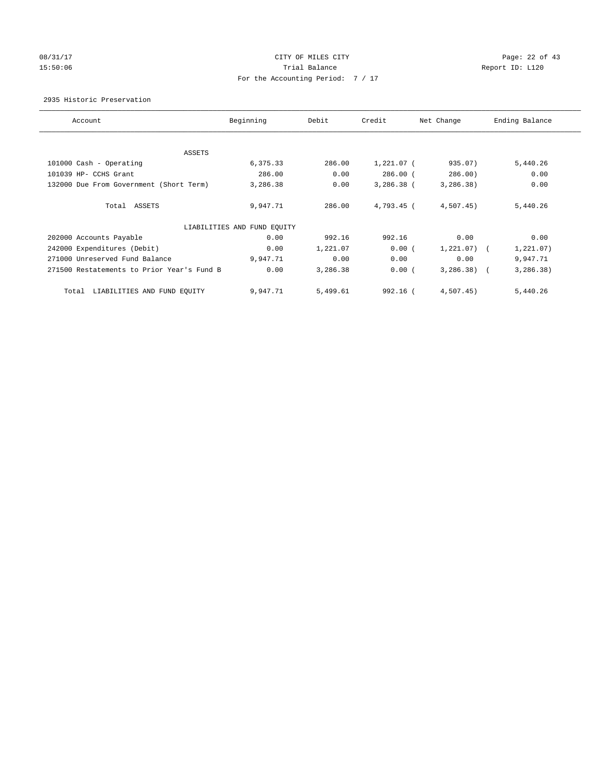## 08/31/17 Page: 22 of 43 15:50:06 Channel Balance Trial Balance Report ID: L120 For the Accounting Period: 7 / 17

2935 Historic Preservation

| Account                                    | Beginning                   | Debit    | Credit       | Net Change     | Ending Balance |
|--------------------------------------------|-----------------------------|----------|--------------|----------------|----------------|
|                                            |                             |          |              |                |                |
| ASSETS                                     |                             |          |              |                |                |
| 101000 Cash - Operating                    | 6,375.33                    | 286.00   | 1,221.07 (   | 935.07)        | 5,440.26       |
| 101039 HP- CCHS Grant                      | 286.00                      | 0.00     | $286.00$ (   | 286.00         | 0.00           |
| 132000 Due From Government (Short Term)    | 3,286.38                    | 0.00     | $3,286.38$ ( | 3,286.38)      | 0.00           |
| Total ASSETS                               | 9,947.71                    | 286.00   | 4,793.45 (   | $4,507.45$ )   | 5,440.26       |
|                                            | LIABILITIES AND FUND EQUITY |          |              |                |                |
| 202000 Accounts Payable                    | 0.00                        | 992.16   | 992.16       | 0.00           | 0.00           |
| 242000 Expenditures (Debit)                | 0.00                        | 1,221.07 | 0.00(        | $1,221.07$ ) ( | 1,221.07)      |
| 271000 Unreserved Fund Balance             | 9,947.71                    | 0.00     | 0.00         | 0.00           | 9,947.71       |
| 271500 Restatements to Prior Year's Fund B | 0.00                        | 3,286.38 | 0.00(        | $3,286.38$ (   | 3, 286.38)     |
| LIABILITIES AND FUND EQUITY<br>Total       | 9,947.71                    | 5,499.61 | 992.16 (     | $4,507.45$ )   | 5,440.26       |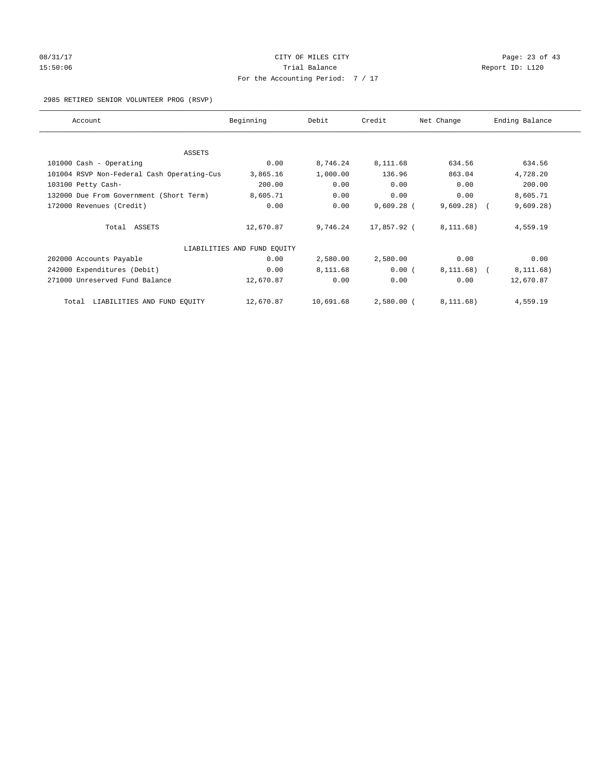# 08/31/17 Page: 23 of 43 15:50:06 Trial Balance Report ID: L120 For the Accounting Period: 7 / 17

## 2985 RETIRED SENIOR VOLUNTEER PROG (RSVP)

| Account                                    | Beginning                   | Debit     | Credit       | Net Change | Ending Balance |
|--------------------------------------------|-----------------------------|-----------|--------------|------------|----------------|
|                                            |                             |           |              |            |                |
| ASSETS                                     |                             |           |              |            |                |
| 101000 Cash - Operating                    | 0.00                        | 8,746.24  | 8,111.68     | 634.56     | 634.56         |
| 101004 RSVP Non-Federal Cash Operating-Cus | 3,865.16                    | 1,000.00  | 136.96       | 863.04     | 4,728.20       |
| 103100 Petty Cash-                         | 200.00                      | 0.00      | 0.00         | 0.00       | 200.00         |
| 132000 Due From Government (Short Term)    | 8,605.71                    | 0.00      | 0.00         | 0.00       | 8,605.71       |
| 172000 Revenues (Credit)                   | 0.00                        | 0.00      | $9,609.28$ ( | 9,609.28)  | 9,609.28)      |
| Total ASSETS                               | 12,670.87                   | 9,746.24  | 17,857.92 (  | 8, 111.68) | 4,559.19       |
|                                            | LIABILITIES AND FUND EQUITY |           |              |            |                |
| 202000 Accounts Payable                    | 0.00                        | 2,580.00  | 2,580.00     | 0.00       | 0.00           |
| 242000 Expenditures (Debit)                | 0.00                        | 8,111.68  | 0.00(        | 8, 111.68) | 8, 111.68)     |
| 271000 Unreserved Fund Balance             | 12,670.87                   | 0.00      | 0.00         | 0.00       | 12,670.87      |
| LIABILITIES AND FUND EQUITY<br>Total       | 12,670.87                   | 10,691.68 | $2,580.00$ ( | 8, 111.68) | 4,559.19       |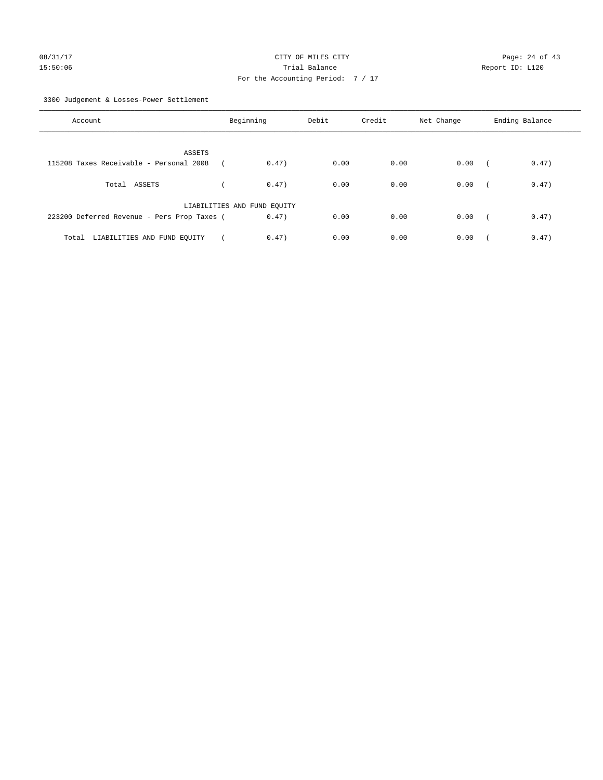3300 Judgement & Losses-Power Settlement

| Account                                     | Beginning                   |       | Debit | Credit | Net Change | Ending Balance |       |
|---------------------------------------------|-----------------------------|-------|-------|--------|------------|----------------|-------|
| ASSETS                                      |                             |       |       |        |            |                |       |
| 115208 Taxes Receivable - Personal 2008     |                             | 0.47) | 0.00  | 0.00   | 0.00       |                | 0.47) |
| Total ASSETS                                |                             | 0.47) | 0.00  | 0.00   | 0.00       | $\sqrt{2}$     | 0.47) |
|                                             | LIABILITIES AND FUND EQUITY |       |       |        |            |                |       |
| 223200 Deferred Revenue - Pers Prop Taxes ( |                             | 0.47) | 0.00  | 0.00   | 0.00       | $\sim$         | 0.47) |
| Total LIABILITIES AND FUND EOUITY           |                             | 0.47) | 0.00  | 0.00   | 0.00       |                | 0.47) |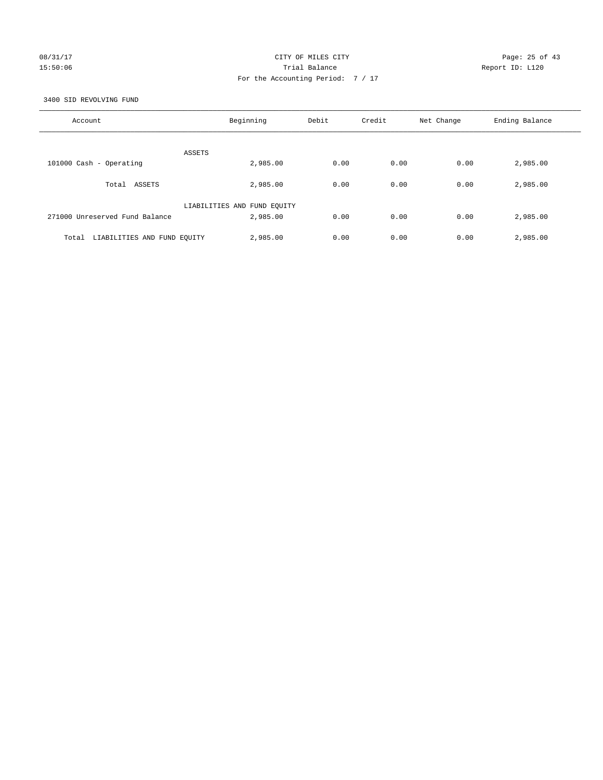## 08/31/17 Page: 25 of 43 15:50:06 Trial Balance Report ID: L120 For the Accounting Period: 7 / 17

3400 SID REVOLVING FUND

| Account                              | Beginning                   | Debit | Credit | Net Change | Ending Balance |
|--------------------------------------|-----------------------------|-------|--------|------------|----------------|
| ASSETS                               |                             |       |        |            |                |
| 101000 Cash - Operating              | 2,985.00                    | 0.00  | 0.00   | 0.00       | 2,985.00       |
| ASSETS<br>Total                      | 2,985.00                    | 0.00  | 0.00   | 0.00       | 2,985.00       |
|                                      | LIABILITIES AND FUND EQUITY |       |        |            |                |
| 271000 Unreserved Fund Balance       | 2,985.00                    | 0.00  | 0.00   | 0.00       | 2,985.00       |
| LIABILITIES AND FUND EQUITY<br>Total | 2,985.00                    | 0.00  | 0.00   | 0.00       | 2,985.00       |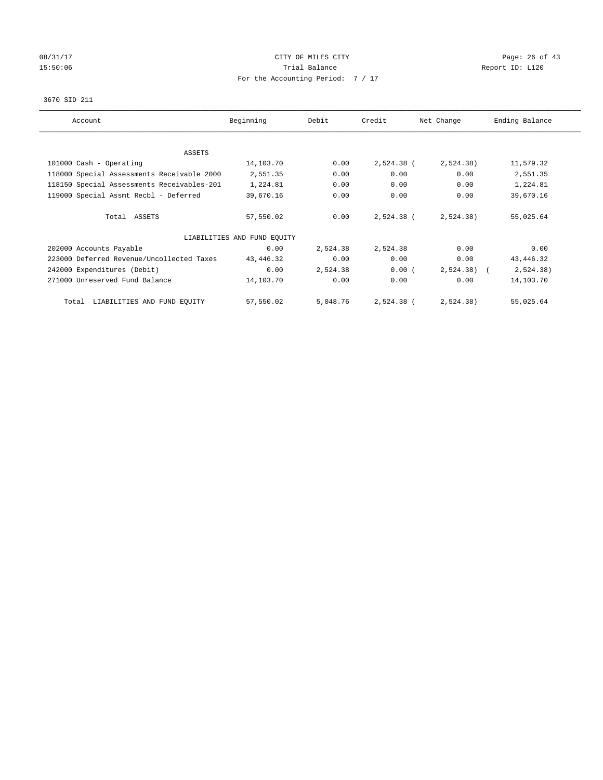# 08/31/17 Page: 26 of 43 15:50:06 Channel Balance Trial Balance Report ID: L120 For the Accounting Period: 7 / 17

## 3670 SID 211

| Account                                    | Beginning                   | Debit    | Credit     | Net Change | Ending Balance |
|--------------------------------------------|-----------------------------|----------|------------|------------|----------------|
|                                            |                             |          |            |            |                |
| ASSETS                                     |                             |          |            |            |                |
| 101000 Cash - Operating                    | 14,103.70                   | 0.00     | 2,524.38 ( | 2,524.38)  | 11,579.32      |
| 118000 Special Assessments Receivable 2000 | 2,551.35                    | 0.00     | 0.00       | 0.00       | 2,551.35       |
| 118150 Special Assessments Receivables-201 | 1,224.81                    | 0.00     | 0.00       | 0.00       | 1,224.81       |
| 119000 Special Assmt Recbl - Deferred      | 39,670.16                   | 0.00     | 0.00       | 0.00       | 39,670.16      |
|                                            |                             |          |            |            |                |
| Total ASSETS                               | 57,550.02                   | 0.00     | 2,524.38 ( | 2,524.38)  | 55,025.64      |
|                                            |                             |          |            |            |                |
|                                            | LIABILITIES AND FUND EQUITY |          |            |            |                |
| 202000 Accounts Payable                    | 0.00                        | 2,524.38 | 2,524.38   | 0.00       | 0.00           |
| 223000 Deferred Revenue/Uncollected Taxes  | 43, 446. 32                 | 0.00     | 0.00       | 0.00       | 43, 446.32     |
| 242000 Expenditures (Debit)                | 0.00                        | 2,524.38 | 0.00(      | 2,524.38)  | 2,524.38)      |
| 271000 Unreserved Fund Balance             | 14,103.70                   | 0.00     | 0.00       | 0.00       | 14,103.70      |
|                                            |                             |          |            |            |                |
| LIABILITIES AND FUND EQUITY<br>Total       | 57,550.02                   | 5,048.76 | 2,524.38 ( | 2,524.38)  | 55,025.64      |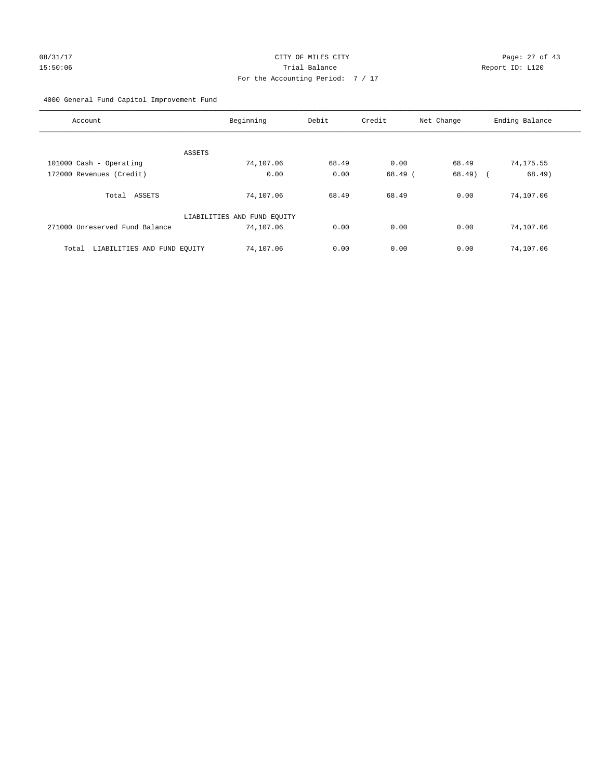# 08/31/17 Page: 27 of 43 15:50:06 Trial Balance Report ID: L120 For the Accounting Period: 7 / 17

4000 General Fund Capitol Improvement Fund

| Account                              | Beginning                   | Debit | Credit  | Net Change | Ending Balance |
|--------------------------------------|-----------------------------|-------|---------|------------|----------------|
|                                      |                             |       |         |            |                |
| ASSETS<br>101000 Cash - Operating    | 74,107.06                   | 68.49 | 0.00    | 68.49      | 74,175.55      |
| 172000 Revenues (Credit)             | 0.00                        | 0.00  | 68.49 ( | $68.49$ (  | 68.49)         |
|                                      |                             |       |         |            |                |
| ASSETS<br>Total                      | 74,107.06                   | 68.49 | 68.49   | 0.00       | 74,107.06      |
|                                      | LIABILITIES AND FUND EQUITY |       |         |            |                |
| 271000 Unreserved Fund Balance       | 74,107.06                   | 0.00  | 0.00    | 0.00       | 74,107.06      |
| LIABILITIES AND FUND EQUITY<br>Total | 74,107.06                   | 0.00  | 0.00    | 0.00       | 74,107.06      |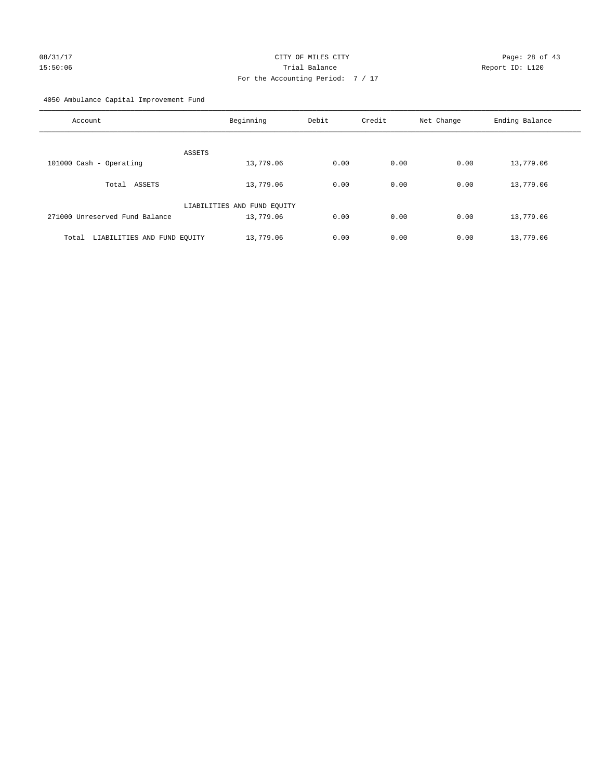4050 Ambulance Capital Improvement Fund

| Account                              | Beginning                   | Debit | Credit | Net Change | Ending Balance |
|--------------------------------------|-----------------------------|-------|--------|------------|----------------|
| ASSETS                               |                             |       |        |            |                |
| 101000 Cash - Operating              | 13,779.06                   | 0.00  | 0.00   | 0.00       | 13,779.06      |
| ASSETS<br>Total                      | 13,779.06                   | 0.00  | 0.00   | 0.00       | 13,779.06      |
|                                      | LIABILITIES AND FUND EQUITY |       |        |            |                |
| 271000 Unreserved Fund Balance       | 13,779.06                   | 0.00  | 0.00   | 0.00       | 13,779.06      |
| LIABILITIES AND FUND EQUITY<br>Total | 13,779.06                   | 0.00  | 0.00   | 0.00       | 13,779.06      |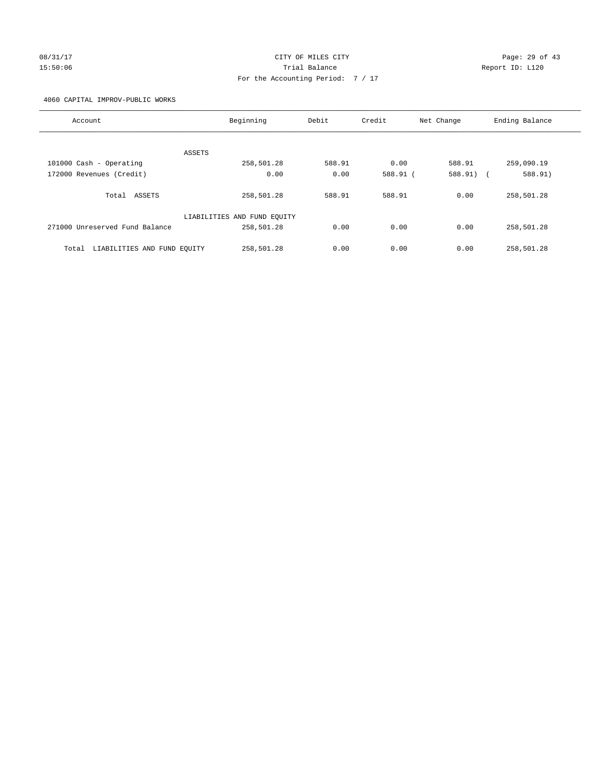# 08/31/17 Page: 29 of 43 15:50:06 Trial Balance Report ID: L120 For the Accounting Period: 7 / 17

4060 CAPITAL IMPROV-PUBLIC WORKS

| Account                              | Beginning                   | Debit  | Credit   | Net Change | Ending Balance |
|--------------------------------------|-----------------------------|--------|----------|------------|----------------|
|                                      |                             |        |          |            |                |
|                                      | ASSETS                      |        |          |            |                |
| 101000 Cash - Operating              | 258,501.28                  | 588.91 | 0.00     | 588.91     | 259,090.19     |
| 172000 Revenues (Credit)             | 0.00                        | 0.00   | 588.91 ( | 588.91) (  | 588.91)        |
|                                      |                             |        |          |            |                |
| Total ASSETS                         | 258,501.28                  | 588.91 | 588.91   | 0.00       | 258,501.28     |
|                                      |                             |        |          |            |                |
|                                      | LIABILITIES AND FUND EQUITY |        |          |            |                |
| 271000 Unreserved Fund Balance       | 258,501.28                  | 0.00   | 0.00     | 0.00       | 258,501.28     |
|                                      |                             |        |          |            |                |
| LIABILITIES AND FUND EQUITY<br>Total | 258,501.28                  | 0.00   | 0.00     | 0.00       | 258,501.28     |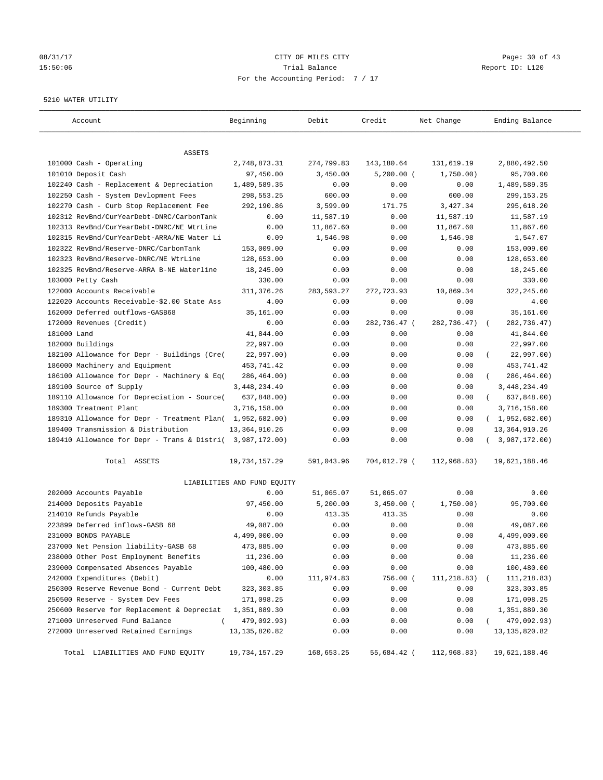## 08/31/17 Page: 30 of 43 15:50:06 Trial Balance Report ID: L120 For the Accounting Period: 7 / 17

#### 5210 WATER UTILITY

| Account                                                   | Beginning                   | Debit      | Credit       | Net Change  | Ending Balance          |
|-----------------------------------------------------------|-----------------------------|------------|--------------|-------------|-------------------------|
| ASSETS                                                    |                             |            |              |             |                         |
| 101000 Cash - Operating                                   | 2,748,873.31                | 274,799.83 | 143,180.64   | 131,619.19  | 2,880,492.50            |
| 101010 Deposit Cash                                       | 97,450.00                   | 3,450.00   | $5,200.00$ ( | 1,750.00)   | 95,700.00               |
| 102240 Cash - Replacement & Depreciation                  | 1,489,589.35                | 0.00       | 0.00         | 0.00        | 1,489,589.35            |
| 102250 Cash - System Devlopment Fees                      | 298,553.25                  | 600.00     | 0.00         | 600.00      | 299,153.25              |
| 102270 Cash - Curb Stop Replacement Fee                   | 292,190.86                  | 3,599.09   | 171.75       | 3,427.34    | 295,618.20              |
| 102312 RevBnd/CurYearDebt-DNRC/CarbonTank                 | 0.00                        | 11,587.19  | 0.00         | 11,587.19   | 11,587.19               |
| 102313 RevBnd/CurYearDebt-DNRC/NE WtrLine                 | 0.00                        | 11,867.60  | 0.00         | 11,867.60   | 11,867.60               |
| 102315 RevBnd/CurYearDebt-ARRA/NE Water Li                | 0.09                        | 1,546.98   | 0.00         | 1,546.98    | 1,547.07                |
| 102322 RevBnd/Reserve-DNRC/CarbonTank                     | 153,009.00                  | 0.00       | 0.00         | 0.00        | 153,009.00              |
| 102323 RevBnd/Reserve-DNRC/NE WtrLine                     | 128,653.00                  | 0.00       | 0.00         | 0.00        | 128,653.00              |
| 102325 RevBnd/Reserve-ARRA B-NE Waterline                 | 18,245.00                   | 0.00       | 0.00         | 0.00        | 18,245.00               |
| 103000 Petty Cash                                         | 330.00                      | 0.00       | 0.00         | 0.00        | 330.00                  |
| 122000 Accounts Receivable                                | 311,376.26                  | 283,593.27 | 272,723.93   | 10,869.34   | 322,245.60              |
| 122020 Accounts Receivable-\$2.00 State Ass               | 4.00                        | 0.00       | 0.00         | 0.00        | 4.00                    |
| 162000 Deferred outflows-GASB68                           | 35,161.00                   | 0.00       | 0.00         | 0.00        | 35,161.00               |
| 172000 Revenues (Credit)                                  | 0.00                        | 0.00       | 282,736.47 ( | 282,736.47) | 282,736.47)             |
| 181000 Land                                               | 41,844.00                   | 0.00       | 0.00         | 0.00        | 41,844.00               |
| 182000 Buildings                                          | 22,997.00                   | 0.00       | 0.00         | 0.00        | 22,997.00               |
| 182100 Allowance for Depr - Buildings (Cre(               | 22,997.00)                  | 0.00       | 0.00         | 0.00        | 22,997.00)              |
| 186000 Machinery and Equipment                            | 453,741.42                  | 0.00       | 0.00         | 0.00        | 453,741.42              |
| 186100 Allowance for Depr - Machinery & Eq(               | 286,464.00)                 | 0.00       | 0.00         | 0.00        | 286,464.00)             |
| 189100 Source of Supply                                   | 3,448,234.49                | 0.00       | 0.00         | 0.00        | 3,448,234.49            |
| 189110 Allowance for Depreciation - Source(               | 637,848.00)                 | 0.00       | 0.00         | 0.00        | 637,848.00)<br>$\left($ |
| 189300 Treatment Plant                                    | 3,716,158.00                | 0.00       | 0.00         | 0.00        | 3,716,158.00            |
| 189310 Allowance for Depr - Treatment Plan( 1,952,682.00) |                             | 0.00       | 0.00         | 0.00        | (1,952,682.00)          |
| 189400 Transmission & Distribution                        | 13, 364, 910.26             | 0.00       | 0.00         | 0.00        | 13, 364, 910.26         |
| 189410 Allowance for Depr - Trans & Distri( 3,987,172.00) |                             | 0.00       | 0.00         | 0.00        | (3,987,172.00)          |
| Total ASSETS                                              | 19,734,157.29               | 591,043.96 | 704,012.79 ( | 112,968.83) | 19,621,188.46           |
|                                                           | LIABILITIES AND FUND EQUITY |            |              |             |                         |
| 202000 Accounts Payable                                   | 0.00                        | 51,065.07  | 51,065.07    | 0.00        | 0.00                    |
| 214000 Deposits Payable                                   | 97,450.00                   | 5,200.00   | $3,450.00$ ( | 1,750.00)   | 95,700.00               |
| 214010 Refunds Payable                                    | 0.00                        | 413.35     | 413.35       | 0.00        | 0.00                    |
| 223899 Deferred inflows-GASB 68                           | 49,087.00                   | 0.00       | 0.00         | 0.00        | 49,087.00               |
| 231000 BONDS PAYABLE                                      | 4,499,000.00                | 0.00       | 0.00         | 0.00        | 4,499,000.00            |
| 237000 Net Pension liability-GASB 68                      | 473,885.00                  | 0.00       | 0.00         | 0.00        | 473,885.00              |
| 238000 Other Post Employment Benefits                     | 11,236.00                   | 0.00       | 0.00         | 0.00        | 11,236.00               |
| 239000 Compensated Absences Payable                       | 100,480.00                  | 0.00       | 0.00         | 0.00        | 100,480.00              |
| 242000 Expenditures (Debit)                               | 0.00                        | 111,974.83 | 756.00 (     | 111,218.83) | 111,218.83)             |
| 250300 Reserve Revenue Bond - Current Debt                | 323, 303.85                 | 0.00       | 0.00         | 0.00        | 323, 303.85             |
| 250500 Reserve - System Dev Fees                          | 171,098.25                  | 0.00       | 0.00         | 0.00        | 171,098.25              |
| 250600 Reserve for Replacement & Depreciat                | 1,351,889.30                | 0.00       | 0.00         | 0.00        | 1,351,889.30            |
| 271000 Unreserved Fund Balance<br>$\left($                | 479,092.93)                 | 0.00       | 0.00         | 0.00        | 479,092.93)             |
| 272000 Unreserved Retained Earnings                       | 13, 135, 820.82             | 0.00       | 0.00         | 0.00        | 13, 135, 820.82         |
| Total LIABILITIES AND FUND EQUITY                         | 19,734,157.29               | 168,653.25 | 55,684.42 (  | 112,968.83) | 19,621,188.46           |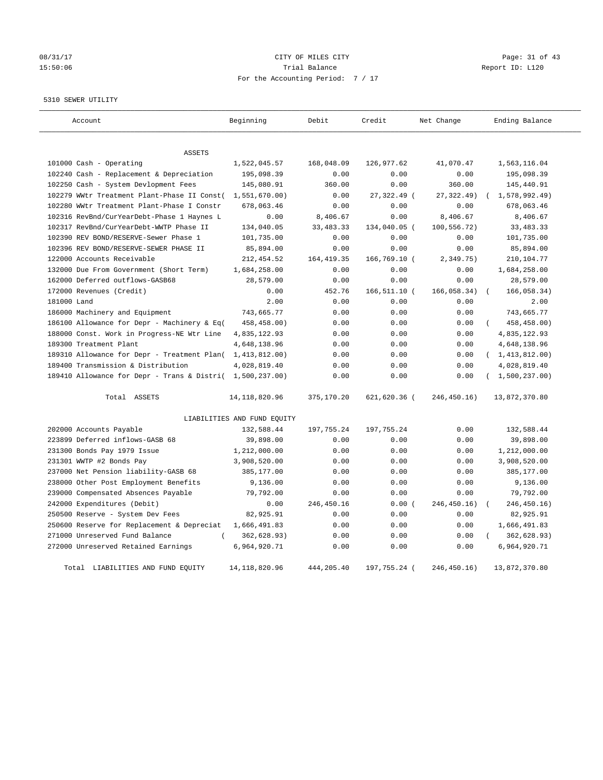# 08/31/17 Page: 31 of 43 15:50:06 Channel Balance Trial Balance Report ID: L120 For the Accounting Period: 7 / 17

5310 SEWER UTILITY

| Account                                                   | Beginning                   | Debit       | Credit       | Net Change    | Ending Balance   |
|-----------------------------------------------------------|-----------------------------|-------------|--------------|---------------|------------------|
| <b>ASSETS</b>                                             |                             |             |              |               |                  |
| 101000 Cash - Operating                                   | 1,522,045.57                | 168,048.09  | 126,977.62   | 41,070.47     | 1,563,116.04     |
| 102240 Cash - Replacement & Depreciation                  | 195,098.39                  | 0.00        | 0.00         | 0.00          | 195,098.39       |
| 102250 Cash - System Devlopment Fees                      | 145,080.91                  | 360.00      | 0.00         | 360.00        | 145,440.91       |
| 102279 WWtr Treatment Plant-Phase II Const(               | 1,551,670.00)               | 0.00        | 27,322.49 (  | 27, 322.49)   | 1,578,992.49)    |
| 102280 WWtr Treatment Plant-Phase I Constr                | 678,063.46                  | 0.00        | 0.00         | 0.00          | 678,063.46       |
| 102316 RevBnd/CurYearDebt-Phase 1 Haynes L                | 0.00                        | 8,406.67    | 0.00         | 8,406.67      | 8,406.67         |
| 102317 RevBnd/CurYearDebt-WWTP Phase II                   | 134,040.05                  | 33, 483. 33 | 134,040.05 ( | 100,556.72)   | 33, 483. 33      |
| 102390 REV BOND/RESERVE-Sewer Phase 1                     | 101,735.00                  | 0.00        | 0.00         | 0.00          | 101,735.00       |
| 102396 REV BOND/RESERVE-SEWER PHASE II                    | 85,894.00                   | 0.00        | 0.00         | 0.00          | 85,894.00        |
| 122000 Accounts Receivable                                | 212, 454.52                 | 164, 419.35 | 166,769.10 ( | 2,349.75)     | 210,104.77       |
| 132000 Due From Government (Short Term)                   | 1,684,258.00                | 0.00        | 0.00         | 0.00          | 1,684,258.00     |
| 162000 Deferred outflows-GASB68                           | 28,579.00                   | 0.00        | 0.00         | 0.00          | 28,579.00        |
| 172000 Revenues (Credit)                                  | 0.00                        | 452.76      | 166,511.10 ( | 166,058.34)   | 166,058.34)      |
| 181000 Land                                               | 2.00                        | 0.00        | 0.00         | 0.00          | 2.00             |
| 186000 Machinery and Equipment                            | 743,665.77                  | 0.00        | 0.00         | 0.00          | 743,665.77       |
| 186100 Allowance for Depr - Machinery & Eq(               | 458,458.00)                 | 0.00        | 0.00         | 0.00          | 458, 458.00)     |
| 188000 Const. Work in Progress-NE Wtr Line                | 4,835,122.93                | 0.00        | 0.00         | 0.00          | 4,835,122.93     |
| 189300 Treatment Plant                                    | 4,648,138.96                | 0.00        | 0.00         | 0.00          | 4,648,138.96     |
| 189310 Allowance for Depr - Treatment Plan(               | 1,413,812.00)               | 0.00        | 0.00         | 0.00          | (1, 413, 812.00) |
| 189400 Transmission & Distribution                        | 4,028,819.40                | 0.00        | 0.00         | 0.00          | 4,028,819.40     |
| 189410 Allowance for Depr - Trans & Distri( 1,500,237.00) |                             | 0.00        | 0.00         | 0.00          | (1,500,237.00)   |
| Total ASSETS                                              | 14, 118, 820. 96            | 375,170.20  | 621,620.36 ( | 246, 450. 16) | 13,872,370.80    |
|                                                           | LIABILITIES AND FUND EQUITY |             |              |               |                  |
| 202000 Accounts Payable                                   | 132,588.44                  | 197,755.24  | 197,755.24   | 0.00          | 132,588.44       |
| 223899 Deferred inflows-GASB 68                           | 39,898.00                   | 0.00        | 0.00         | 0.00          | 39,898.00        |
| 231300 Bonds Pay 1979 Issue                               | 1,212,000.00                | 0.00        | 0.00         | 0.00          | 1,212,000.00     |
| 231301 WWTP #2 Bonds Pay                                  | 3,908,520.00                | 0.00        | 0.00         | 0.00          | 3,908,520.00     |
| 237000 Net Pension liability-GASB 68                      | 385,177.00                  | 0.00        | 0.00         | 0.00          | 385,177.00       |
| 238000 Other Post Employment Benefits                     | 9,136.00                    | 0.00        | 0.00         | 0.00          | 9,136.00         |
| 239000 Compensated Absences Payable                       | 79,792.00                   | 0.00        | 0.00         | 0.00          | 79,792.00        |
| 242000 Expenditures (Debit)                               | 0.00                        | 246, 450.16 | 0.00(        | 246, 450. 16) | 246, 450. 16)    |
| 250500 Reserve - System Dev Fees                          | 82,925.91                   | 0.00        | 0.00         | 0.00          | 82,925.91        |
| 250600 Reserve for Replacement & Depreciat                | 1,666,491.83                | 0.00        | 0.00         | 0.00          | 1,666,491.83     |
| 271000 Unreserved Fund Balance<br>$\left($                | 362,628.93)                 | 0.00        | 0.00         | 0.00          | 362,628.93)      |
| 272000 Unreserved Retained Earnings                       | 6,964,920.71                | 0.00        | 0.00         | 0.00          | 6,964,920.71     |
| Total LIABILITIES AND FUND EOUITY                         | 14, 118, 820, 96            | 444, 205.40 | 197,755.24 ( | 246.450.16    | 13,872,370.80    |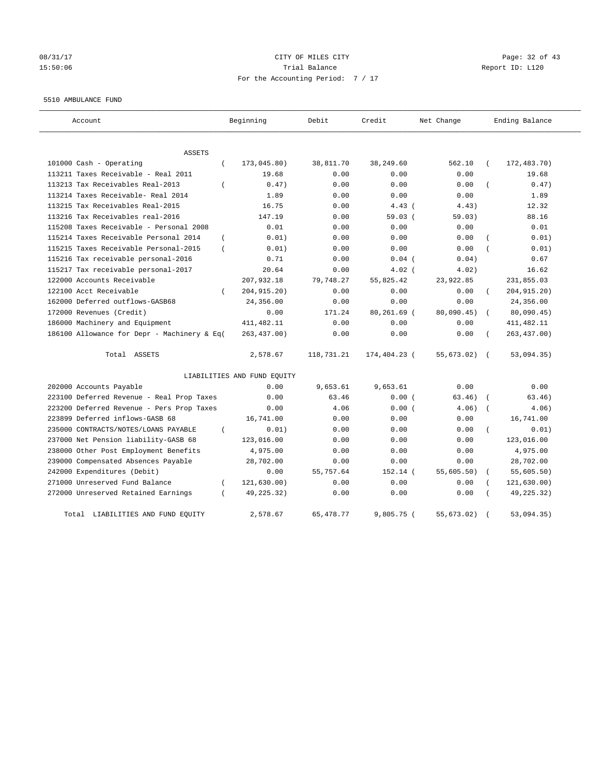# 08/31/17 Page: 32 of 43 15:50:06 Trial Balance Report ID: L120 For the Accounting Period: 7 / 17

#### 5510 AMBULANCE FUND

| Account                                           | Beginning                   | Debit       | Credit       | Net Change | Ending Balance           |
|---------------------------------------------------|-----------------------------|-------------|--------------|------------|--------------------------|
| <b>ASSETS</b>                                     |                             |             |              |            |                          |
| 101000 Cash - Operating<br>$\left($               | 173,045.80)                 | 38,811.70   | 38,249.60    | 562.10     | 172,483.70)              |
| 113211 Taxes Receivable - Real 2011               | 19.68                       | 0.00        | 0.00         | 0.00       | 19.68                    |
| 113213 Tax Receivables Real-2013<br>$\left($      | 0.47)                       | 0.00        | 0.00         | 0.00       | 0.47)                    |
| 113214 Taxes Receivable- Real 2014                | 1.89                        | 0.00        | 0.00         | 0.00       | 1.89                     |
| 113215 Tax Receivables Real-2015                  | 16.75                       | 0.00        | $4.43$ (     | 4.43)      | 12.32                    |
| 113216 Tax Receivables real-2016                  | 147.19                      | 0.00        | 59.03(       | 59.03)     | 88.16                    |
| 115208 Taxes Receivable - Personal 2008           | 0.01                        | 0.00        | 0.00         | 0.00       | 0.01                     |
| 115214 Taxes Receivable Personal 2014<br>$\left($ | 0.01)                       | 0.00        | 0.00         | 0.00       | 0.01)                    |
| 115215 Taxes Receivable Personal-2015<br>$\left($ | 0.01)                       | 0.00        | 0.00         | 0.00       | 0.01)                    |
| 115216 Tax receivable personal-2016               | 0.71                        | 0.00        | $0.04$ (     | 0.04)      | 0.67                     |
| 115217 Tax receivable personal-2017               | 20.64                       | 0.00        | $4.02$ (     | 4.02)      | 16.62                    |
| 122000 Accounts Receivable                        | 207,932.18                  | 79,748.27   | 55,825.42    | 23,922.85  | 231,855.03               |
| 122100 Acct Receivable                            | 204, 915. 20)               | 0.00        | 0.00         | 0.00       | 204, 915. 20)            |
| 162000 Deferred outflows-GASB68                   | 24,356.00                   | 0.00        | 0.00         | 0.00       | 24,356.00                |
| 172000 Revenues (Credit)                          | 0.00                        | 171.24      | 80,261.69 (  | 80,090.45) | 80,090.45)               |
| 186000 Machinery and Equipment                    | 411, 482.11                 | 0.00        | 0.00         | 0.00       | 411, 482.11              |
| 186100 Allowance for Depr - Machinery & Eq(       | 263, 437.00)                | 0.00        | 0.00         | 0.00       | 263, 437.00)             |
| Total ASSETS                                      | 2,578.67                    | 118,731.21  | 174,404.23 ( | 55,673.02) | 53,094.35)<br>$\sqrt{2}$ |
|                                                   | LIABILITIES AND FUND EQUITY |             |              |            |                          |
| 202000 Accounts Payable                           | 0.00                        | 9,653.61    | 9,653.61     | 0.00       | 0.00                     |
| 223100 Deferred Revenue - Real Prop Taxes         | 0.00                        | 63.46       | 0.00(        | 63.46)     | 63.46)                   |
| 223200 Deferred Revenue - Pers Prop Taxes         | 0.00                        | 4.06        | 0.00(        | 4.06)      | 4.06)                    |
| 223899 Deferred inflows-GASB 68                   | 16,741.00                   | 0.00        | 0.00         | 0.00       | 16,741.00                |
| 235000 CONTRACTS/NOTES/LOANS PAYABLE<br>$\left($  | 0.01)                       | 0.00        | 0.00         | 0.00       | 0.01)                    |
| 237000 Net Pension liability-GASB 68              | 123,016.00                  | 0.00        | 0.00         | 0.00       | 123,016.00               |
| 238000 Other Post Employment Benefits             | 4,975.00                    | 0.00        | 0.00         | 0.00       | 4,975.00                 |
| 239000 Compensated Absences Payable               | 28,702.00                   | 0.00        | 0.00         | 0.00       | 28,702.00                |
| 242000 Expenditures (Debit)                       | 0.00                        | 55,757.64   | 152.14 (     | 55,605.50) | 55,605.50)               |
| 271000 Unreserved Fund Balance<br>$\left($        | 121, 630.00)                | 0.00        | 0.00         | 0.00       | 121,630.00)              |
| 272000 Unreserved Retained Earnings<br>$\left($   | 49,225.32)                  | 0.00        | 0.00         | 0.00       | 49,225.32)               |
| Total LIABILITIES AND FUND EQUITY                 | 2,578.67                    | 65, 478. 77 | $9,805.75$ ( | 55,673.02) | 53,094.35)               |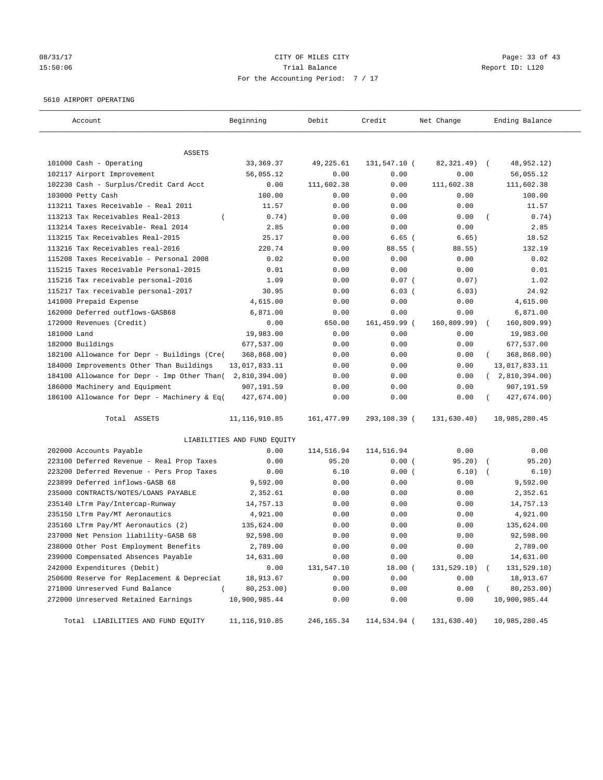# 08/31/17 Page: 33 of 43 15:50:06 Trial Balance Report ID: L120 For the Accounting Period: 7 / 17

#### 5610 AIRPORT OPERATING

| Account                                     | Beginning                   | Debit       | Credit       | Net Change   | Ending Balance          |
|---------------------------------------------|-----------------------------|-------------|--------------|--------------|-------------------------|
|                                             |                             |             |              |              |                         |
| ASSETS                                      |                             |             |              |              |                         |
| 101000 Cash - Operating                     | 33, 369. 37                 | 49,225.61   | 131,547.10 ( | 82, 321.49)  | 48,952.12)              |
| 102117 Airport Improvement                  | 56,055.12                   | 0.00        | 0.00         | 0.00         | 56,055.12               |
| 102230 Cash - Surplus/Credit Card Acct      | 0.00                        | 111,602.38  | 0.00         | 111,602.38   | 111,602.38              |
| 103000 Petty Cash                           | 100.00                      | 0.00        | 0.00         | 0.00         | 100.00                  |
| 113211 Taxes Receivable - Real 2011         | 11.57                       | 0.00        | 0.00         | 0.00         | 11.57                   |
| 113213 Tax Receivables Real-2013            | 0.74)                       | 0.00        | 0.00         | 0.00         | 0.74)                   |
| 113214 Taxes Receivable- Real 2014          | 2.85                        | 0.00        | 0.00         | 0.00         | 2.85                    |
| 113215 Tax Receivables Real-2015            | 25.17                       | 0.00        | $6.65$ (     | 6.65)        | 18.52                   |
| 113216 Tax Receivables real-2016            | 220.74                      | 0.00        | $88.55$ (    | 88.55)       | 132.19                  |
| 115208 Taxes Receivable - Personal 2008     | 0.02                        | 0.00        | 0.00         | 0.00         | 0.02                    |
| 115215 Taxes Receivable Personal-2015       | 0.01                        | 0.00        | 0.00         | 0.00         | 0.01                    |
| 115216 Tax receivable personal-2016         | 1.09                        | 0.00        | $0.07$ (     | 0.07)        | 1.02                    |
| 115217 Tax receivable personal-2017         | 30.95                       | 0.00        | 6.03(        | 6.03)        | 24.92                   |
| 141000 Prepaid Expense                      | 4,615.00                    | 0.00        | 0.00         | 0.00         | 4,615.00                |
| 162000 Deferred outflows-GASB68             | 6,871.00                    | 0.00        | 0.00         | 0.00         | 6,871.00                |
| 172000 Revenues (Credit)                    | 0.00                        | 650.00      | 161,459.99 ( | 160, 809.99) | 160, 809.99)            |
| 181000 Land                                 | 19,983.00                   | 0.00        | 0.00         | 0.00         | 19,983.00               |
| 182000 Buildings                            | 677,537.00                  | 0.00        | 0.00         | 0.00         | 677,537.00              |
| 182100 Allowance for Depr - Buildings (Cre( | 368,868.00)                 | 0.00        | 0.00         | 0.00         | 368,868.00)             |
| 184000 Improvements Other Than Buildings    | 13,017,833.11               | 0.00        | 0.00         | 0.00         | 13,017,833.11           |
| 184100 Allowance for Depr - Imp Other Than( | 2,810,394.00)               | 0.00        | 0.00         | 0.00         | 2,810,394.00)           |
| 186000 Machinery and Equipment              | 907,191.59                  | 0.00        | 0.00         | 0.00         | 907,191.59              |
| 186100 Allowance for Depr - Machinery & Eq( | 427,674.00)                 | 0.00        | 0.00         | 0.00         | 427,674.00)             |
| Total ASSETS                                | 11, 116, 910.85             | 161, 477.99 | 293,108.39 ( | 131,630.40)  | 10,985,280.45           |
|                                             | LIABILITIES AND FUND EQUITY |             |              |              |                         |
| 202000 Accounts Payable                     | 0.00                        | 114,516.94  | 114,516.94   | 0.00         | 0.00                    |
| 223100 Deferred Revenue - Real Prop Taxes   | 0.00                        | 95.20       | 0.00(        | 95.20)       | 95.20)                  |
| 223200 Deferred Revenue - Pers Prop Taxes   | 0.00                        | 6.10        | 0.00(        | 6.10)        | 6.10)                   |
| 223899 Deferred inflows-GASB 68             | 9,592.00                    | 0.00        | 0.00         | 0.00         | 9,592.00                |
| 235000 CONTRACTS/NOTES/LOANS PAYABLE        | 2,352.61                    | 0.00        | 0.00         | 0.00         | 2,352.61                |
| 235140 LTrm Pay/Intercap-Runway             | 14,757.13                   | 0.00        | 0.00         | 0.00         | 14,757.13               |
| 235150 LTrm Pay/MT Aeronautics              | 4,921.00                    | 0.00        | 0.00         | 0.00         | 4,921.00                |
| 235160 LTrm Pay/MT Aeronautics (2)          | 135,624.00                  | 0.00        | 0.00         | 0.00         | 135,624.00              |
| 237000 Net Pension liability-GASB 68        | 92,598.00                   | 0.00        | 0.00         | 0.00         | 92,598.00               |
| 238000 Other Post Employment Benefits       | 2,789.00                    | 0.00        | 0.00         | 0.00         | 2,789.00                |
| 239000 Compensated Absences Payable         | 14,631.00                   | 0.00        | 0.00         | 0.00         | 14,631.00               |
| 242000 Expenditures (Debit)                 | 0.00                        | 131,547.10  | $18.00$ (    | 131, 529.10) | 131,529.10)<br>$\left($ |
| 250600 Reserve for Replacement & Depreciat  | 18,913.67                   | 0.00        | 0.00         | 0.00         | 18,913.67               |
| 271000 Unreserved Fund Balance<br>$\left($  | 80,253.00)                  | 0.00        | 0.00         | 0.00         | 80,253.00)              |
| 272000 Unreserved Retained Earnings         | 10,900,985.44               | 0.00        | 0.00         | 0.00         | 10,900,985.44           |
| Total LIABILITIES AND FUND EQUITY           | 11, 116, 910.85             | 246,165.34  | 114,534.94 ( | 131,630.40)  | 10,985,280.45           |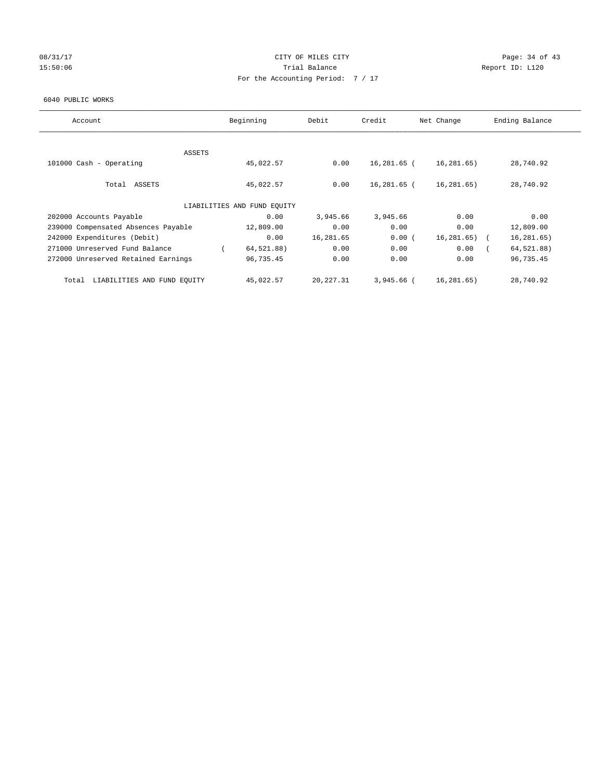## 08/31/17 Page: 34 of 43 15:50:06 Trial Balance Report ID: L120 For the Accounting Period: 7 / 17

### 6040 PUBLIC WORKS

| Account                              | Beginning                   | Debit      | Credit      | Net Change   | Ending Balance |
|--------------------------------------|-----------------------------|------------|-------------|--------------|----------------|
|                                      |                             |            |             |              |                |
| ASSETS                               |                             |            |             |              |                |
| 101000 Cash - Operating              | 45,022.57                   | 0.00       | 16,281.65 ( | 16,281.65)   | 28,740.92      |
|                                      |                             |            |             |              |                |
| Total ASSETS                         | 45,022.57                   | 0.00       | 16,281.65 ( | 16, 281.65)  | 28,740.92      |
|                                      |                             |            |             |              |                |
|                                      | LIABILITIES AND FUND EQUITY |            |             |              |                |
| 202000 Accounts Payable              | 0.00                        | 3,945.66   | 3,945.66    | 0.00         | 0.00           |
| 239000 Compensated Absences Payable  | 12,809.00                   | 0.00       | 0.00        | 0.00         | 12,809.00      |
| 242000 Expenditures (Debit)          | 0.00                        | 16,281.65  | 0.00(       | 16, 281, 65) | 16, 281.65)    |
| 271000 Unreserved Fund Balance       | 64,521.88)                  | 0.00       | 0.00        | 0.00         | 64,521.88)     |
| 272000 Unreserved Retained Earnings  | 96,735.45                   | 0.00       | 0.00        | 0.00         | 96,735.45      |
|                                      |                             |            |             |              |                |
| LIABILITIES AND FUND EQUITY<br>Total | 45,022.57                   | 20, 227.31 | 3,945.66 (  | 16,281.65)   | 28,740.92      |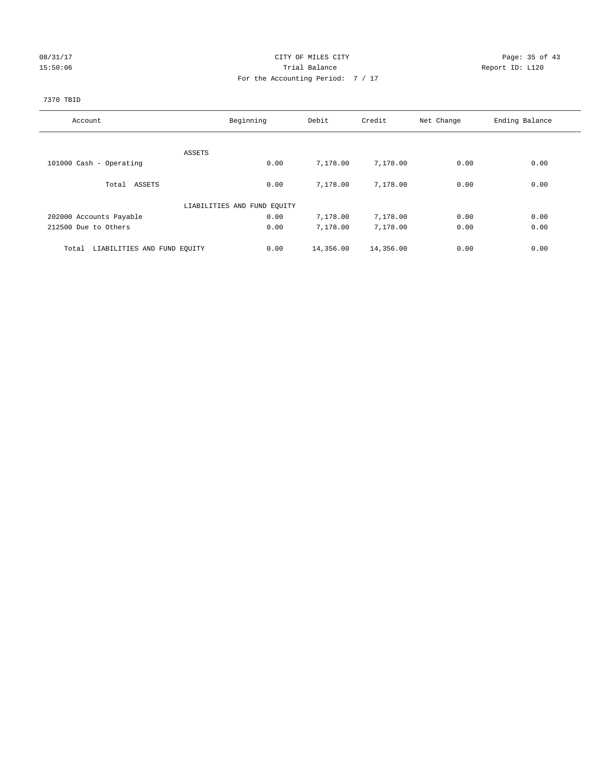## 08/31/17 Page: 35 of 43 15:50:06 Trial Balance Report ID: L120 For the Accounting Period: 7 / 17

## 7370 TBID

| Account                              | Beginning                   | Debit     | Credit    | Net Change | Ending Balance |
|--------------------------------------|-----------------------------|-----------|-----------|------------|----------------|
|                                      |                             |           |           |            |                |
|                                      | ASSETS                      |           |           |            |                |
| 101000 Cash - Operating              | 0.00                        | 7,178.00  | 7,178.00  | 0.00       | 0.00           |
| Total ASSETS                         | 0.00                        | 7,178.00  | 7,178.00  | 0.00       | 0.00           |
|                                      | LIABILITIES AND FUND EQUITY |           |           |            |                |
| 202000 Accounts Payable              | 0.00                        | 7,178.00  | 7,178.00  | 0.00       | 0.00           |
| 212500 Due to Others                 | 0.00                        | 7,178.00  | 7,178.00  | 0.00       | 0.00           |
| LIABILITIES AND FUND EQUITY<br>Total | 0.00                        | 14,356.00 | 14,356.00 | 0.00       | 0.00           |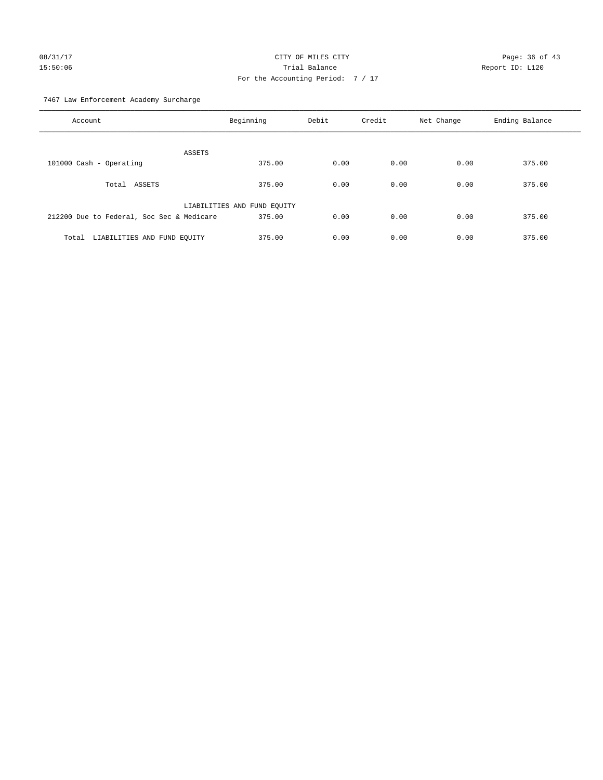# 08/31/17 Page: 36 of 43 15:50:06 Trial Balance Report ID: L120 For the Accounting Period: 7 / 17

7467 Law Enforcement Academy Surcharge

| Account                                   | Beginning                   | Debit | Credit | Net Change | Ending Balance |
|-------------------------------------------|-----------------------------|-------|--------|------------|----------------|
| ASSETS                                    |                             |       |        |            |                |
| 101000 Cash - Operating                   | 375.00                      | 0.00  | 0.00   | 0.00       | 375.00         |
| Total ASSETS                              | 375.00                      | 0.00  | 0.00   | 0.00       | 375.00         |
|                                           | LIABILITIES AND FUND EQUITY |       |        |            |                |
| 212200 Due to Federal, Soc Sec & Medicare | 375.00                      | 0.00  | 0.00   | 0.00       | 375.00         |
| LIABILITIES AND FUND EQUITY<br>Total      | 375.00                      | 0.00  | 0.00   | 0.00       | 375.00         |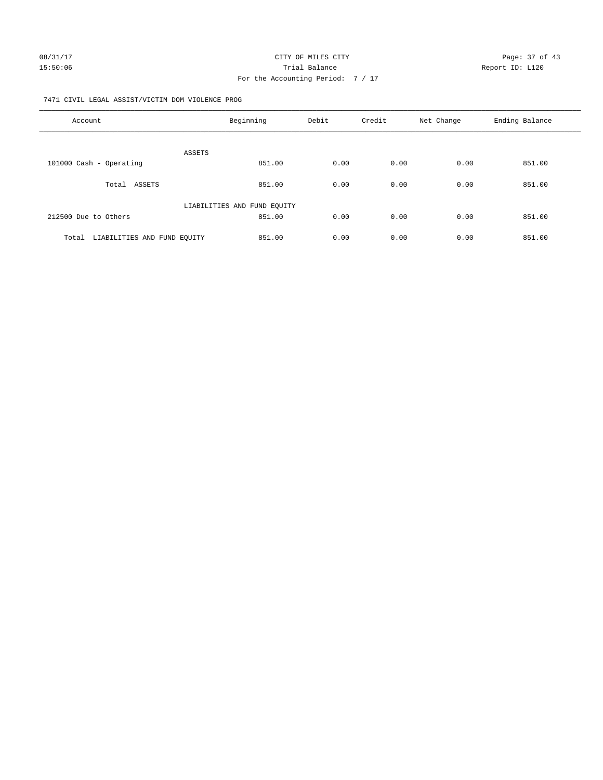## 7471 CIVIL LEGAL ASSIST/VICTIM DOM VIOLENCE PROG

| Account                              | Beginning                   | Debit | Credit | Net Change | Ending Balance |
|--------------------------------------|-----------------------------|-------|--------|------------|----------------|
|                                      |                             |       |        |            |                |
|                                      | ASSETS                      |       |        |            |                |
| 101000 Cash - Operating              | 851.00                      | 0.00  | 0.00   | 0.00       | 851.00         |
| Total ASSETS                         | 851.00                      | 0.00  | 0.00   | 0.00       | 851.00         |
|                                      | LIABILITIES AND FUND EQUITY |       |        |            |                |
| 212500 Due to Others                 | 851.00                      | 0.00  | 0.00   | 0.00       | 851.00         |
| LIABILITIES AND FUND EQUITY<br>Total | 851.00                      | 0.00  | 0.00   | 0.00       | 851.00         |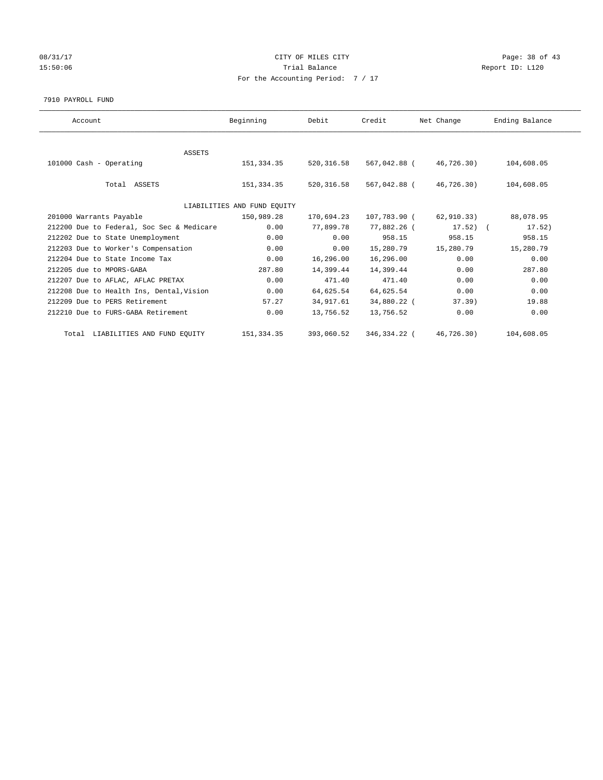## 08/31/17 Page: 38 of 43 15:50:06 Trial Balance Report ID: L120 For the Accounting Period: 7 / 17

#### 7910 PAYROLL FUND

| Account                                   | Beginning                   | Debit       | Credit       | Net Change  | Ending Balance |
|-------------------------------------------|-----------------------------|-------------|--------------|-------------|----------------|
|                                           |                             |             |              |             |                |
| <b>ASSETS</b>                             |                             |             |              |             |                |
| 101000 Cash - Operating                   | 151,334.35                  | 520, 316.58 | 567,042.88 ( | 46,726.30)  | 104,608.05     |
|                                           |                             |             |              |             |                |
| Total ASSETS                              | 151,334.35                  | 520, 316.58 | 567,042.88 ( | 46,726.30)  | 104,608.05     |
|                                           |                             |             |              |             |                |
|                                           | LIABILITIES AND FUND EQUITY |             |              |             |                |
| 201000 Warrants Payable                   | 150,989.28                  | 170,694.23  | 107,783.90 ( | 62,910.33)  | 88,078.95      |
| 212200 Due to Federal, Soc Sec & Medicare | 0.00                        | 77,899.78   | 77,882.26 (  | $17.52$ ) ( | 17.52)         |
| 212202 Due to State Unemployment          | 0.00                        | 0.00        | 958.15       | 958.15      | 958.15         |
| 212203 Due to Worker's Compensation       | 0.00                        | 0.00        | 15,280.79    | 15,280.79   | 15,280.79      |
| 212204 Due to State Income Tax            | 0.00                        | 16,296.00   | 16,296.00    | 0.00        | 0.00           |
| 212205 due to MPORS-GABA                  | 287.80                      | 14,399.44   | 14,399.44    | 0.00        | 287.80         |
| 212207 Due to AFLAC, AFLAC PRETAX         | 0.00                        | 471.40      | 471.40       | 0.00        | 0.00           |
| 212208 Due to Health Ins, Dental, Vision  | 0.00                        | 64,625.54   | 64,625.54    | 0.00        | 0.00           |
| 212209 Due to PERS Retirement             | 57.27                       | 34,917.61   | 34,880.22 (  | 37.39)      | 19.88          |
| 212210 Due to FURS-GABA Retirement        | 0.00                        | 13,756.52   | 13,756.52    | 0.00        | 0.00           |
| Total LIABILITIES AND FUND EQUITY         | 151, 334.35                 | 393,060.52  | 346,334.22 ( | 46,726.30)  | 104,608.05     |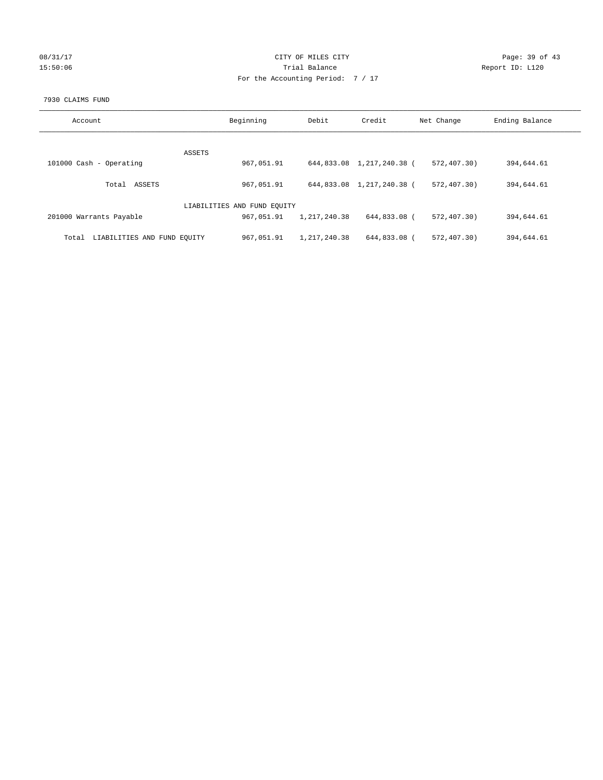| 08/31/17 |  |
|----------|--|
| 15:50:06 |  |

## CITY OF MILES CITY Page: 39 of 43<br>
Trial Balance Report ID: L120 15:50:06 Report ID: L120 For the Accounting Period: 7 / 17

## 7930 CLAIMS FUND

| Account                              | Beginning                   | Debit          | Credit                    | Net Change    | Ending Balance |
|--------------------------------------|-----------------------------|----------------|---------------------------|---------------|----------------|
|                                      |                             |                |                           |               |                |
| ASSETS                               |                             |                |                           |               |                |
| 101000 Cash - Operating              | 967,051.91                  |                | 644,833.08 1,217,240.38 ( | 572, 407, 30) | 394,644.61     |
| ASSETS<br>Total                      | 967,051.91                  |                | 644,833.08 1,217,240.38 ( | 572, 407, 30) | 394,644.61     |
|                                      | LIABILITIES AND FUND EQUITY |                |                           |               |                |
| 201000 Warrants Payable              | 967,051.91                  | 1, 217, 240.38 | 644,833.08 (              | 572, 407, 30) | 394,644.61     |
| LIABILITIES AND FUND EQUITY<br>Total | 967,051.91                  | 1,217,240.38   | 644,833.08 (              | 572,407.30)   | 394,644.61     |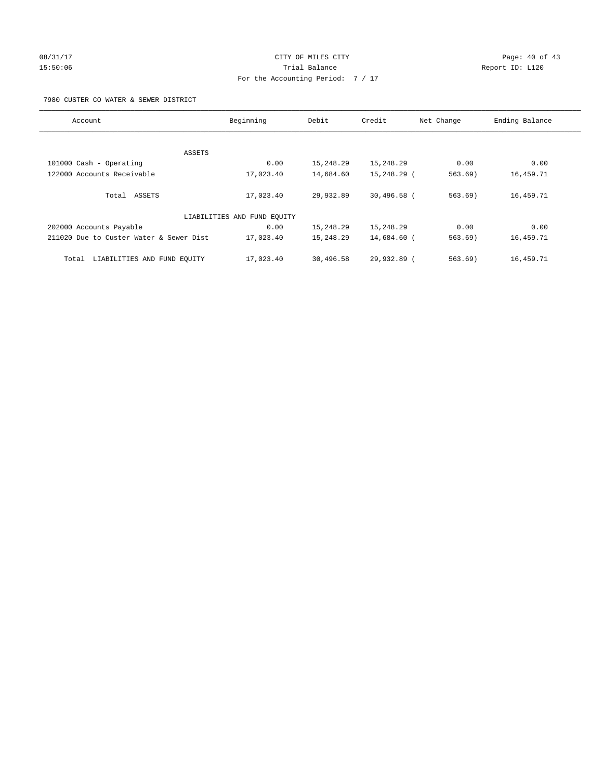# 08/31/17 Page: 40 of 43 15:50:06 Report ID: L120 For the Accounting Period: 7 / 17

7980 CUSTER CO WATER & SEWER DISTRICT

| Account                                 | Beginning                   | Debit     | Credit      | Net Change | Ending Balance |
|-----------------------------------------|-----------------------------|-----------|-------------|------------|----------------|
|                                         |                             |           |             |            |                |
|                                         | ASSETS                      |           |             |            |                |
| 101000 Cash - Operating                 | 0.00                        | 15,248.29 | 15,248.29   | 0.00       | 0.00           |
| 122000 Accounts Receivable              | 17,023.40                   | 14,684.60 | 15,248.29 ( | 563.69)    | 16,459.71      |
| Total ASSETS                            | 17,023.40                   | 29,932.89 | 30,496.58 ( | $563.69$ ) | 16,459.71      |
|                                         | LIABILITIES AND FUND EQUITY |           |             |            |                |
| 202000 Accounts Payable                 | 0.00                        | 15,248.29 | 15,248.29   | 0.00       | 0.00           |
| 211020 Due to Custer Water & Sewer Dist | 17,023.40                   | 15,248.29 | 14,684.60 ( | 563.69)    | 16,459.71      |
| LIABILITIES AND FUND EQUITY<br>Total    | 17,023.40                   | 30,496.58 | 29,932.89 ( | 563.69     | 16,459.71      |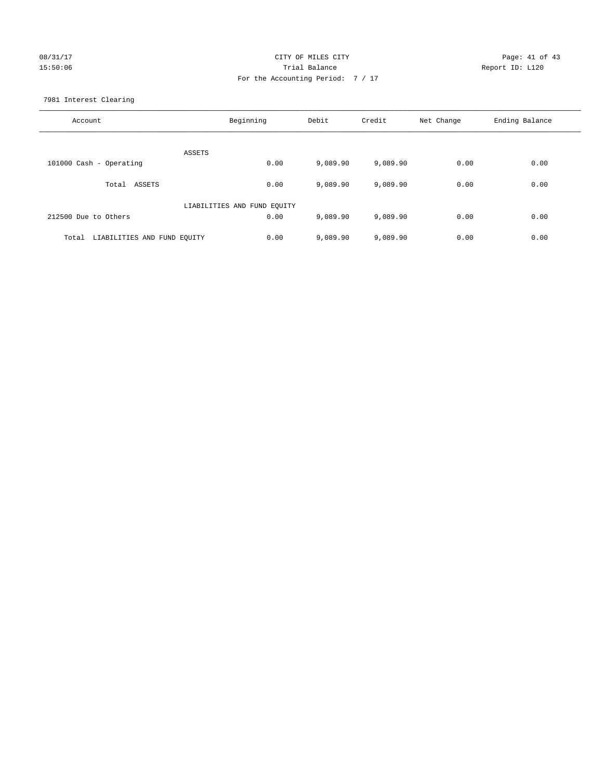# 08/31/17 Page: 41 of 43 15:50:06 Report ID: L120 For the Accounting Period: 7 / 17

7981 Interest Clearing

| Account                              | Beginning                   | Debit    | Credit   | Net Change | Ending Balance |
|--------------------------------------|-----------------------------|----------|----------|------------|----------------|
|                                      | ASSETS                      |          |          |            |                |
| 101000 Cash - Operating              | 0.00                        | 9,089.90 | 9,089.90 | 0.00       | 0.00           |
| Total ASSETS                         | 0.00                        | 9,089.90 | 9,089.90 | 0.00       | 0.00           |
|                                      | LIABILITIES AND FUND EQUITY |          |          |            |                |
| 212500 Due to Others                 | 0.00                        | 9,089.90 | 9,089.90 | 0.00       | 0.00           |
| LIABILITIES AND FUND EQUITY<br>Total | 0.00                        | 9,089.90 | 9,089.90 | 0.00       | 0.00           |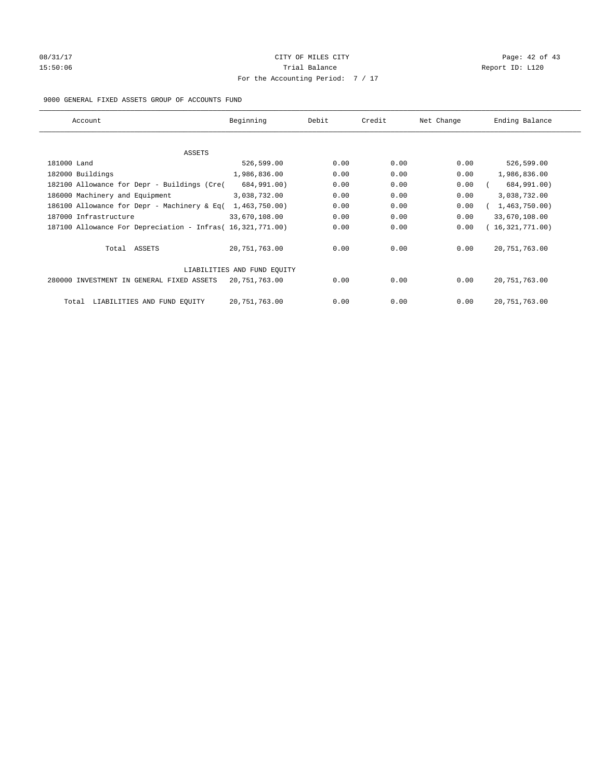# 08/31/17 Page: 42 of 43 15:50:06 Trial Balance Report ID: L120 For the Accounting Period: 7 / 17

## 9000 GENERAL FIXED ASSETS GROUP OF ACCOUNTS FUND

| Account                                                    | Beginning                   | Debit | Credit | Net Change | Ending Balance  |
|------------------------------------------------------------|-----------------------------|-------|--------|------------|-----------------|
| ASSETS                                                     |                             |       |        |            |                 |
| 181000 Land                                                | 526,599.00                  | 0.00  | 0.00   | 0.00       | 526,599.00      |
| 182000 Buildings                                           | 1,986,836.00                | 0.00  | 0.00   | 0.00       | 1,986,836.00    |
| 182100 Allowance for Depr - Buildings (Cre(                | 684,991.00)                 | 0.00  | 0.00   | 0.00       | 684,991.00)     |
| 186000 Machinery and Equipment                             | 3,038,732.00                | 0.00  | 0.00   | 0.00       | 3,038,732.00    |
| 186100 Allowance for Depr - Machinery & Eq(                | 1,463,750.00                | 0.00  | 0.00   | 0.00       | 1,463,750.00    |
| 187000 Infrastructure                                      | 33,670,108.00               | 0.00  | 0.00   | 0.00       | 33,670,108.00   |
| 187100 Allowance For Depreciation - Infras( 16,321,771.00) |                             | 0.00  | 0.00   | 0.00       | 16,321,771.00)  |
| Total ASSETS                                               | 20, 751, 763.00             | 0.00  | 0.00   | 0.00       | 20, 751, 763.00 |
|                                                            | LIABILITIES AND FUND EQUITY |       |        |            |                 |
| 280000 INVESTMENT IN GENERAL FIXED ASSETS                  | 20,751,763.00               | 0.00  | 0.00   | 0.00       | 20, 751, 763.00 |
| LIABILITIES AND FUND EQUITY<br>Total                       | 20,751,763.00               | 0.00  | 0.00   | 0.00       | 20, 751, 763.00 |